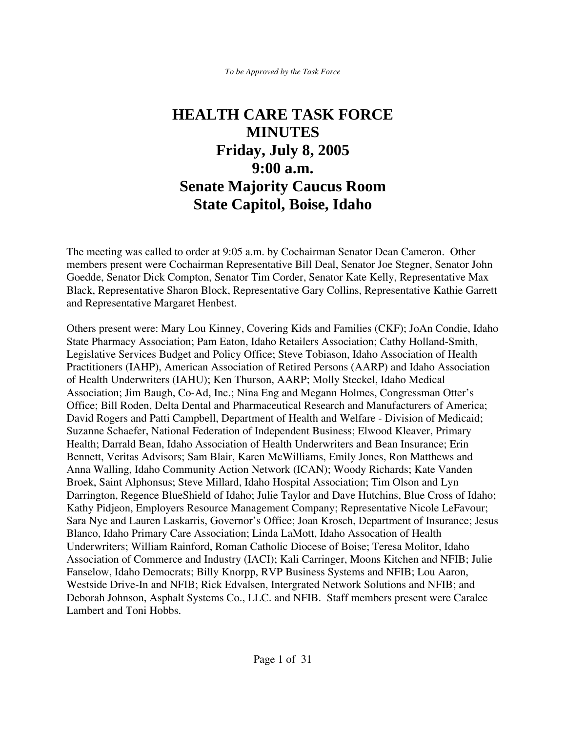*To be Approved by the Task Force*

# **HEALTH CARE TASK FORCE MINUTES Friday, July 8, 2005 9:00 a.m. Senate Majority Caucus Room State Capitol, Boise, Idaho**

The meeting was called to order at 9:05 a.m. by Cochairman Senator Dean Cameron. Other members present were Cochairman Representative Bill Deal, Senator Joe Stegner, Senator John Goedde, Senator Dick Compton, Senator Tim Corder, Senator Kate Kelly, Representative Max Black, Representative Sharon Block, Representative Gary Collins, Representative Kathie Garrett and Representative Margaret Henbest.

Others present were: Mary Lou Kinney, Covering Kids and Families (CKF); JoAn Condie, Idaho State Pharmacy Association; Pam Eaton, Idaho Retailers Association; Cathy Holland-Smith, Legislative Services Budget and Policy Office; Steve Tobiason, Idaho Association of Health Practitioners (IAHP), American Association of Retired Persons (AARP) and Idaho Association of Health Underwriters (IAHU); Ken Thurson, AARP; Molly Steckel, Idaho Medical Association; Jim Baugh, Co-Ad, Inc.; Nina Eng and Megann Holmes, Congressman Otter's Office; Bill Roden, Delta Dental and Pharmaceutical Research and Manufacturers of America; David Rogers and Patti Campbell, Department of Health and Welfare - Division of Medicaid; Suzanne Schaefer, National Federation of Independent Business; Elwood Kleaver, Primary Health; Darrald Bean, Idaho Association of Health Underwriters and Bean Insurance; Erin Bennett, Veritas Advisors; Sam Blair, Karen McWilliams, Emily Jones, Ron Matthews and Anna Walling, Idaho Community Action Network (ICAN); Woody Richards; Kate Vanden Broek, Saint Alphonsus; Steve Millard, Idaho Hospital Association; Tim Olson and Lyn Darrington, Regence BlueShield of Idaho; Julie Taylor and Dave Hutchins, Blue Cross of Idaho; Kathy Pidjeon, Employers Resource Management Company; Representative Nicole LeFavour; Sara Nye and Lauren Laskarris, Governor's Office; Joan Krosch, Department of Insurance; Jesus Blanco, Idaho Primary Care Association; Linda LaMott, Idaho Assocation of Health Underwriters; William Rainford, Roman Catholic Diocese of Boise; Teresa Molitor, Idaho Association of Commerce and Industry (IACI); Kali Carringer, Moons Kitchen and NFIB; Julie Fanselow, Idaho Democrats; Billy Knorpp, RVP Business Systems and NFIB; Lou Aaron, Westside Drive-In and NFIB; Rick Edvalsen, Intergrated Network Solutions and NFIB; and Deborah Johnson, Asphalt Systems Co., LLC. and NFIB. Staff members present were Caralee Lambert and Toni Hobbs.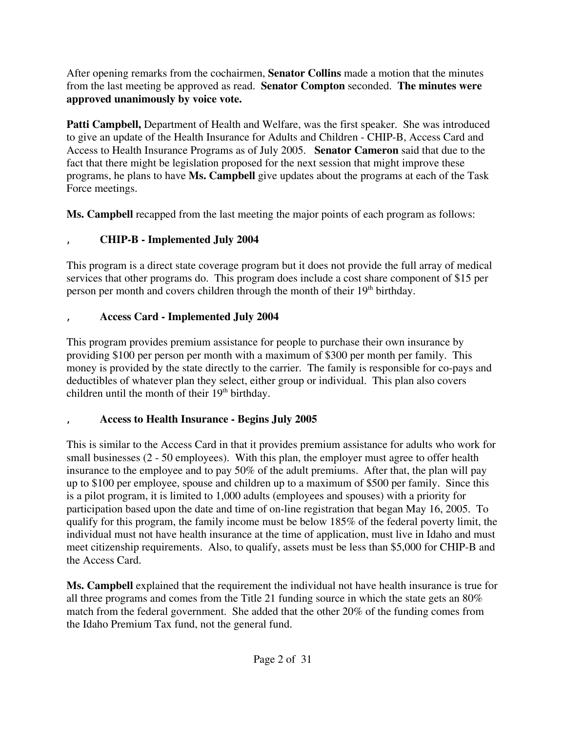After opening remarks from the cochairmen, **Senator Collins** made a motion that the minutes from the last meeting be approved as read. **Senator Compton** seconded. **The minutes were approved unanimously by voice vote.**

**Patti Campbell,** Department of Health and Welfare, was the first speaker. She was introduced to give an update of the Health Insurance for Adults and Children - CHIP-B, Access Card and Access to Health Insurance Programs as of July 2005. **Senator Cameron** said that due to the fact that there might be legislation proposed for the next session that might improve these programs, he plans to have **Ms. Campbell** give updates about the programs at each of the Task Force meetings.

**Ms. Campbell** recapped from the last meeting the major points of each program as follows:

## ' **CHIP-B - Implemented July 2004**

This program is a direct state coverage program but it does not provide the full array of medical services that other programs do. This program does include a cost share component of \$15 per person per month and covers children through the month of their  $19<sup>th</sup>$  birthday.

## ' **Access Card - Implemented July 2004**

This program provides premium assistance for people to purchase their own insurance by providing \$100 per person per month with a maximum of \$300 per month per family. This money is provided by the state directly to the carrier. The family is responsible for co-pays and deductibles of whatever plan they select, either group or individual. This plan also covers children until the month of their  $19<sup>th</sup>$  birthday.

#### ' **Access to Health Insurance - Begins July 2005**

This is similar to the Access Card in that it provides premium assistance for adults who work for small businesses (2 - 50 employees). With this plan, the employer must agree to offer health insurance to the employee and to pay 50% of the adult premiums. After that, the plan will pay up to \$100 per employee, spouse and children up to a maximum of \$500 per family. Since this is a pilot program, it is limited to 1,000 adults (employees and spouses) with a priority for participation based upon the date and time of on-line registration that began May 16, 2005. To qualify for this program, the family income must be below 185% of the federal poverty limit, the individual must not have health insurance at the time of application, must live in Idaho and must meet citizenship requirements. Also, to qualify, assets must be less than \$5,000 for CHIP-B and the Access Card.

**Ms. Campbell** explained that the requirement the individual not have health insurance is true for all three programs and comes from the Title 21 funding source in which the state gets an 80% match from the federal government. She added that the other 20% of the funding comes from the Idaho Premium Tax fund, not the general fund.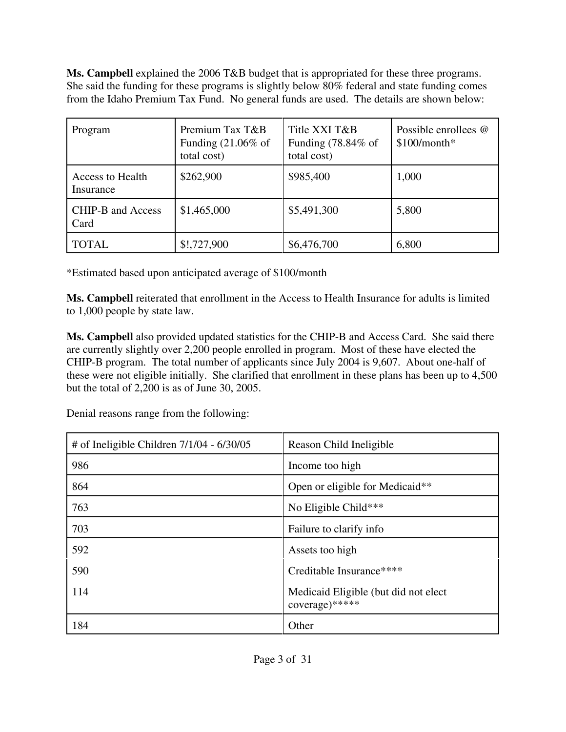**Ms. Campbell** explained the 2006 T&B budget that is appropriated for these three programs. She said the funding for these programs is slightly below 80% federal and state funding comes from the Idaho Premium Tax Fund. No general funds are used. The details are shown below:

| Program                              | Premium Tax T&B<br>Funding $(21.06\%$ of<br>total cost) | Title XXI T&B<br>Funding $(78.84\% \text{ of }$<br>total cost) | Possible enrollees @<br>$$100/m$ onth* |
|--------------------------------------|---------------------------------------------------------|----------------------------------------------------------------|----------------------------------------|
| <b>Access to Health</b><br>Insurance | \$262,900                                               | \$985,400                                                      | 1,000                                  |
| CHIP-B and Access<br>Card            | \$1,465,000                                             | \$5,491,300                                                    | 5,800                                  |
| <b>TOTAL</b>                         | \$!,727,900                                             | \$6,476,700                                                    | 6,800                                  |

\*Estimated based upon anticipated average of \$100/month

**Ms. Campbell** reiterated that enrollment in the Access to Health Insurance for adults is limited to 1,000 people by state law.

**Ms. Campbell** also provided updated statistics for the CHIP-B and Access Card. She said there are currently slightly over 2,200 people enrolled in program. Most of these have elected the CHIP-B program. The total number of applicants since July 2004 is 9,607. About one-half of these were not eligible initially. She clarified that enrollment in these plans has been up to 4,500 but the total of 2,200 is as of June 30, 2005.

Denial reasons range from the following:

| # of Ineligible Children 7/1/04 - 6/30/05 | Reason Child Ineligible                                 |
|-------------------------------------------|---------------------------------------------------------|
| 986                                       | Income too high                                         |
| 864                                       | Open or eligible for Medicaid**                         |
| 763                                       | No Eligible Child***                                    |
| 703                                       | Failure to clarify info                                 |
| 592                                       | Assets too high                                         |
| 590                                       | Creditable Insurance****                                |
| 114                                       | Medicaid Eligible (but did not elect)<br>coverage)***** |
| 184                                       | Other                                                   |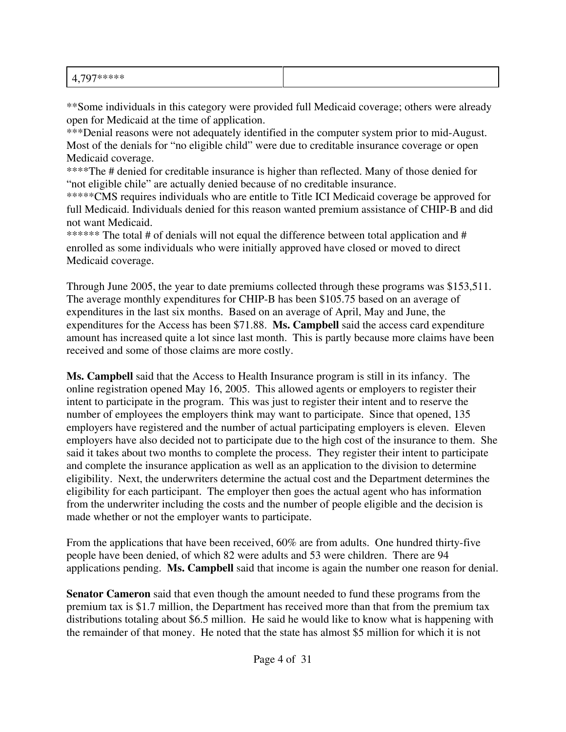\*\*Some individuals in this category were provided full Medicaid coverage; others were already open for Medicaid at the time of application.

\*\*\*Denial reasons were not adequately identified in the computer system prior to mid-August. Most of the denials for "no eligible child" were due to creditable insurance coverage or open Medicaid coverage.

\*\*\*\*The # denied for creditable insurance is higher than reflected. Many of those denied for "not eligible chile" are actually denied because of no creditable insurance.

\*\*\*\*\*CMS requires individuals who are entitle to Title ICI Medicaid coverage be approved for full Medicaid. Individuals denied for this reason wanted premium assistance of CHIP-B and did not want Medicaid.

\*\*\*\*\*\* The total # of denials will not equal the difference between total application and # enrolled as some individuals who were initially approved have closed or moved to direct Medicaid coverage.

Through June 2005, the year to date premiums collected through these programs was \$153,511. The average monthly expenditures for CHIP-B has been \$105.75 based on an average of expenditures in the last six months. Based on an average of April, May and June, the expenditures for the Access has been \$71.88. **Ms. Campbell** said the access card expenditure amount has increased quite a lot since last month. This is partly because more claims have been received and some of those claims are more costly.

**Ms. Campbell** said that the Access to Health Insurance program is still in its infancy. The online registration opened May 16, 2005. This allowed agents or employers to register their intent to participate in the program. This was just to register their intent and to reserve the number of employees the employers think may want to participate. Since that opened, 135 employers have registered and the number of actual participating employers is eleven. Eleven employers have also decided not to participate due to the high cost of the insurance to them. She said it takes about two months to complete the process. They register their intent to participate and complete the insurance application as well as an application to the division to determine eligibility. Next, the underwriters determine the actual cost and the Department determines the eligibility for each participant. The employer then goes the actual agent who has information from the underwriter including the costs and the number of people eligible and the decision is made whether or not the employer wants to participate.

From the applications that have been received, 60% are from adults. One hundred thirty-five people have been denied, of which 82 were adults and 53 were children. There are 94 applications pending. **Ms. Campbell** said that income is again the number one reason for denial.

**Senator Cameron** said that even though the amount needed to fund these programs from the premium tax is \$1.7 million, the Department has received more than that from the premium tax distributions totaling about \$6.5 million. He said he would like to know what is happening with the remainder of that money. He noted that the state has almost \$5 million for which it is not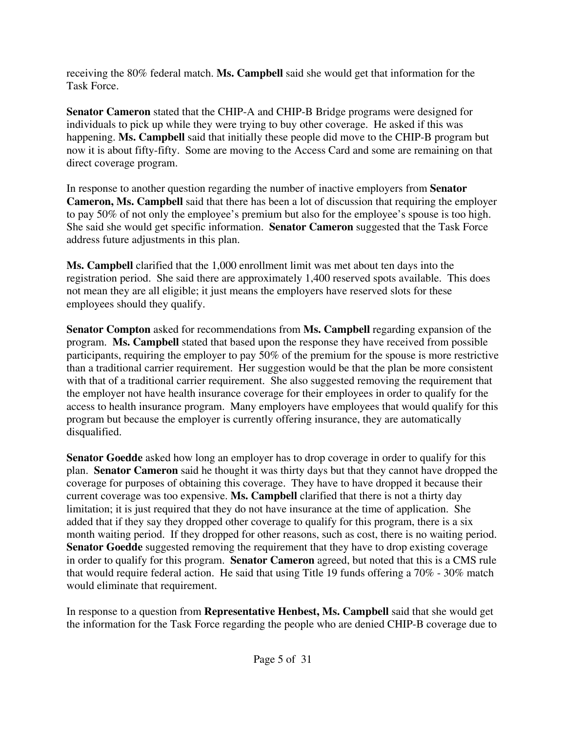receiving the 80% federal match. **Ms. Campbell** said she would get that information for the Task Force.

**Senator Cameron** stated that the CHIP-A and CHIP-B Bridge programs were designed for individuals to pick up while they were trying to buy other coverage. He asked if this was happening. **Ms. Campbell** said that initially these people did move to the CHIP-B program but now it is about fifty-fifty. Some are moving to the Access Card and some are remaining on that direct coverage program.

In response to another question regarding the number of inactive employers from **Senator Cameron, Ms. Campbell** said that there has been a lot of discussion that requiring the employer to pay 50% of not only the employee's premium but also for the employee's spouse is too high. She said she would get specific information. **Senator Cameron** suggested that the Task Force address future adjustments in this plan.

**Ms. Campbell** clarified that the 1,000 enrollment limit was met about ten days into the registration period. She said there are approximately 1,400 reserved spots available. This does not mean they are all eligible; it just means the employers have reserved slots for these employees should they qualify.

**Senator Compton** asked for recommendations from **Ms. Campbell** regarding expansion of the program. **Ms. Campbell** stated that based upon the response they have received from possible participants, requiring the employer to pay 50% of the premium for the spouse is more restrictive than a traditional carrier requirement. Her suggestion would be that the plan be more consistent with that of a traditional carrier requirement. She also suggested removing the requirement that the employer not have health insurance coverage for their employees in order to qualify for the access to health insurance program. Many employers have employees that would qualify for this program but because the employer is currently offering insurance, they are automatically disqualified.

**Senator Goedde** asked how long an employer has to drop coverage in order to qualify for this plan. **Senator Cameron** said he thought it was thirty days but that they cannot have dropped the coverage for purposes of obtaining this coverage. They have to have dropped it because their current coverage was too expensive. **Ms. Campbell** clarified that there is not a thirty day limitation; it is just required that they do not have insurance at the time of application. She added that if they say they dropped other coverage to qualify for this program, there is a six month waiting period. If they dropped for other reasons, such as cost, there is no waiting period. **Senator Goedde** suggested removing the requirement that they have to drop existing coverage in order to qualify for this program. **Senator Cameron** agreed, but noted that this is a CMS rule that would require federal action. He said that using Title 19 funds offering a 70% - 30% match would eliminate that requirement.

In response to a question from **Representative Henbest, Ms. Campbell** said that she would get the information for the Task Force regarding the people who are denied CHIP-B coverage due to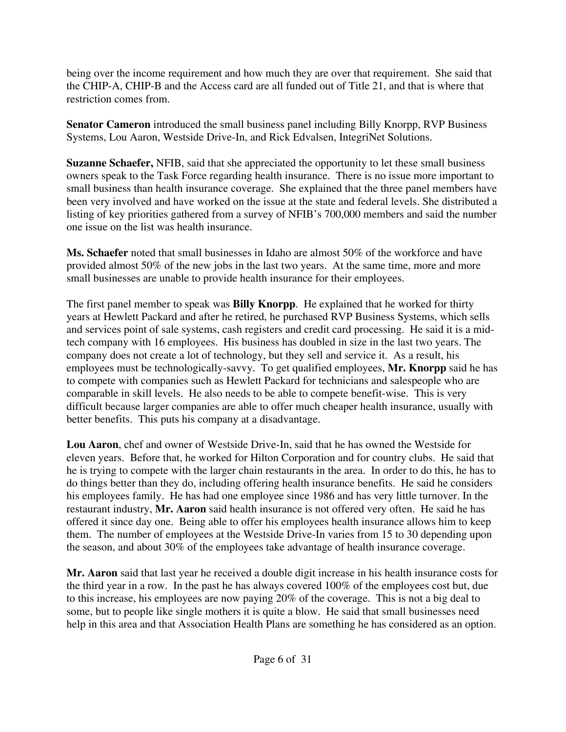being over the income requirement and how much they are over that requirement. She said that the CHIP-A, CHIP-B and the Access card are all funded out of Title 21, and that is where that restriction comes from.

**Senator Cameron** introduced the small business panel including Billy Knorpp, RVP Business Systems, Lou Aaron, Westside Drive-In, and Rick Edvalsen, IntegriNet Solutions.

**Suzanne Schaefer,** NFIB, said that she appreciated the opportunity to let these small business owners speak to the Task Force regarding health insurance. There is no issue more important to small business than health insurance coverage. She explained that the three panel members have been very involved and have worked on the issue at the state and federal levels. She distributed a listing of key priorities gathered from a survey of NFIB's 700,000 members and said the number one issue on the list was health insurance.

**Ms. Schaefer** noted that small businesses in Idaho are almost 50% of the workforce and have provided almost 50% of the new jobs in the last two years. At the same time, more and more small businesses are unable to provide health insurance for their employees.

The first panel member to speak was **Billy Knorpp**. He explained that he worked for thirty years at Hewlett Packard and after he retired, he purchased RVP Business Systems, which sells and services point of sale systems, cash registers and credit card processing. He said it is a midtech company with 16 employees. His business has doubled in size in the last two years. The company does not create a lot of technology, but they sell and service it. As a result, his employees must be technologically-savvy. To get qualified employees, **Mr. Knorpp** said he has to compete with companies such as Hewlett Packard for technicians and salespeople who are comparable in skill levels. He also needs to be able to compete benefit-wise. This is very difficult because larger companies are able to offer much cheaper health insurance, usually with better benefits. This puts his company at a disadvantage.

**Lou Aaron**, chef and owner of Westside Drive-In, said that he has owned the Westside for eleven years. Before that, he worked for Hilton Corporation and for country clubs. He said that he is trying to compete with the larger chain restaurants in the area. In order to do this, he has to do things better than they do, including offering health insurance benefits. He said he considers his employees family. He has had one employee since 1986 and has very little turnover. In the restaurant industry, **Mr. Aaron** said health insurance is not offered very often. He said he has offered it since day one. Being able to offer his employees health insurance allows him to keep them. The number of employees at the Westside Drive-In varies from 15 to 30 depending upon the season, and about 30% of the employees take advantage of health insurance coverage.

**Mr. Aaron** said that last year he received a double digit increase in his health insurance costs for the third year in a row. In the past he has always covered 100% of the employees cost but, due to this increase, his employees are now paying 20% of the coverage. This is not a big deal to some, but to people like single mothers it is quite a blow. He said that small businesses need help in this area and that Association Health Plans are something he has considered as an option.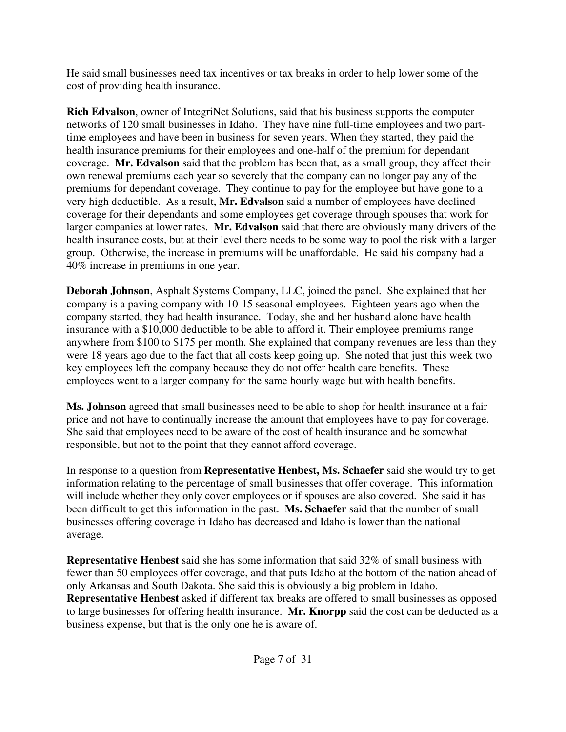He said small businesses need tax incentives or tax breaks in order to help lower some of the cost of providing health insurance.

**Rich Edvalson**, owner of IntegriNet Solutions, said that his business supports the computer networks of 120 small businesses in Idaho. They have nine full-time employees and two parttime employees and have been in business for seven years. When they started, they paid the health insurance premiums for their employees and one-half of the premium for dependant coverage. **Mr. Edvalson** said that the problem has been that, as a small group, they affect their own renewal premiums each year so severely that the company can no longer pay any of the premiums for dependant coverage. They continue to pay for the employee but have gone to a very high deductible. As a result, **Mr. Edvalson** said a number of employees have declined coverage for their dependants and some employees get coverage through spouses that work for larger companies at lower rates. **Mr. Edvalson** said that there are obviously many drivers of the health insurance costs, but at their level there needs to be some way to pool the risk with a larger group. Otherwise, the increase in premiums will be unaffordable. He said his company had a 40% increase in premiums in one year.

**Deborah Johnson**, Asphalt Systems Company, LLC, joined the panel. She explained that her company is a paving company with 10-15 seasonal employees. Eighteen years ago when the company started, they had health insurance. Today, she and her husband alone have health insurance with a \$10,000 deductible to be able to afford it. Their employee premiums range anywhere from \$100 to \$175 per month. She explained that company revenues are less than they were 18 years ago due to the fact that all costs keep going up. She noted that just this week two key employees left the company because they do not offer health care benefits. These employees went to a larger company for the same hourly wage but with health benefits.

**Ms. Johnson** agreed that small businesses need to be able to shop for health insurance at a fair price and not have to continually increase the amount that employees have to pay for coverage. She said that employees need to be aware of the cost of health insurance and be somewhat responsible, but not to the point that they cannot afford coverage.

In response to a question from **Representative Henbest, Ms. Schaefer** said she would try to get information relating to the percentage of small businesses that offer coverage. This information will include whether they only cover employees or if spouses are also covered. She said it has been difficult to get this information in the past. **Ms. Schaefer** said that the number of small businesses offering coverage in Idaho has decreased and Idaho is lower than the national average.

**Representative Henbest** said she has some information that said 32% of small business with fewer than 50 employees offer coverage, and that puts Idaho at the bottom of the nation ahead of only Arkansas and South Dakota. She said this is obviously a big problem in Idaho. **Representative Henbest** asked if different tax breaks are offered to small businesses as opposed to large businesses for offering health insurance. **Mr. Knorpp** said the cost can be deducted as a business expense, but that is the only one he is aware of.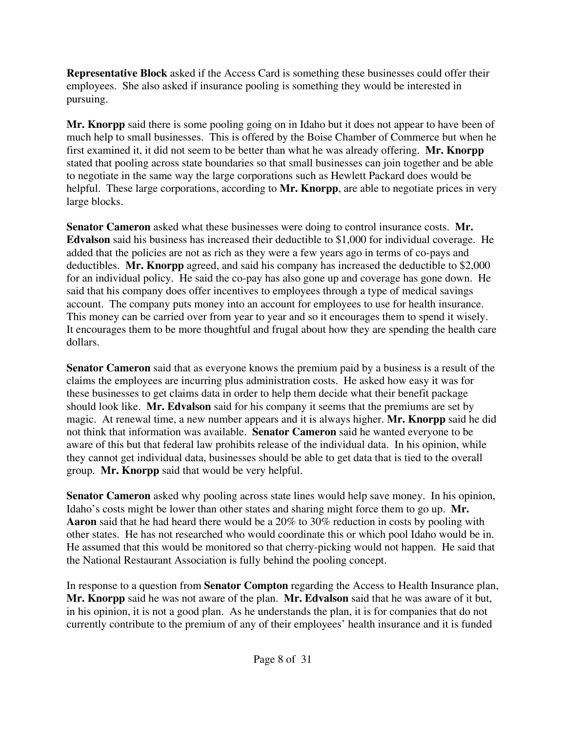**Representative Block** asked if the Access Card is something these businesses could offer their employees. She also asked if insurance pooling is something they would be interested in pursuing.

**Mr. Knorpp** said there is some pooling going on in Idaho but it does not appear to have been of much help to small businesses. This is offered by the Boise Chamber of Commerce but when he first examined it, it did not seem to be better than what he was already offering. **Mr. Knorpp** stated that pooling across state boundaries so that small businesses can join together and be able to negotiate in the same way the large corporations such as Hewlett Packard does would be helpful. These large corporations, according to **Mr. Knorpp**, are able to negotiate prices in very large blocks.

**Senator Cameron** asked what these businesses were doing to control insurance costs. **Mr. Edvalson** said his business has increased their deductible to \$1,000 for individual coverage. He added that the policies are not as rich as they were a few years ago in terms of co-pays and deductibles. **Mr. Knorpp** agreed, and said his company has increased the deductible to \$2,000 for an individual policy. He said the co-pay has also gone up and coverage has gone down. He said that his company does offer incentives to employees through a type of medical savings account. The company puts money into an account for employees to use for health insurance. This money can be carried over from year to year and so it encourages them to spend it wisely. It encourages them to be more thoughtful and frugal about how they are spending the health care dollars.

**Senator Cameron** said that as everyone knows the premium paid by a business is a result of the claims the employees are incurring plus administration costs. He asked how easy it was for these businesses to get claims data in order to help them decide what their benefit package should look like. **Mr. Edvalson** said for his company it seems that the premiums are set by magic. At renewal time, a new number appears and it is always higher. **Mr. Knorpp** said he did not think that information was available. **Senator Cameron** said he wanted everyone to be aware of this but that federal law prohibits release of the individual data. In his opinion, while they cannot get individual data, businesses should be able to get data that is tied to the overall group. **Mr. Knorpp** said that would be very helpful.

**Senator Cameron** asked why pooling across state lines would help save money. In his opinion, Idaho's costs might be lower than other states and sharing might force them to go up. **Mr. Aaron** said that he had heard there would be a 20% to 30% reduction in costs by pooling with other states. He has not researched who would coordinate this or which pool Idaho would be in. He assumed that this would be monitored so that cherry-picking would not happen. He said that the National Restaurant Association is fully behind the pooling concept.

In response to a question from **Senator Compton** regarding the Access to Health Insurance plan, **Mr. Knorpp** said he was not aware of the plan. **Mr. Edvalson** said that he was aware of it but, in his opinion, it is not a good plan. As he understands the plan, it is for companies that do not currently contribute to the premium of any of their employees' health insurance and it is funded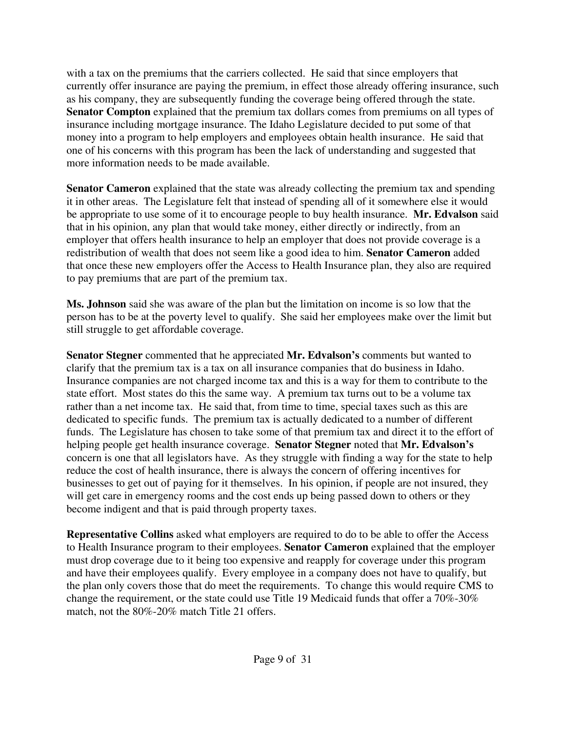with a tax on the premiums that the carriers collected. He said that since employers that currently offer insurance are paying the premium, in effect those already offering insurance, such as his company, they are subsequently funding the coverage being offered through the state. **Senator Compton** explained that the premium tax dollars comes from premiums on all types of insurance including mortgage insurance. The Idaho Legislature decided to put some of that money into a program to help employers and employees obtain health insurance. He said that one of his concerns with this program has been the lack of understanding and suggested that more information needs to be made available.

**Senator Cameron** explained that the state was already collecting the premium tax and spending it in other areas. The Legislature felt that instead of spending all of it somewhere else it would be appropriate to use some of it to encourage people to buy health insurance. **Mr. Edvalson** said that in his opinion, any plan that would take money, either directly or indirectly, from an employer that offers health insurance to help an employer that does not provide coverage is a redistribution of wealth that does not seem like a good idea to him. **Senator Cameron** added that once these new employers offer the Access to Health Insurance plan, they also are required to pay premiums that are part of the premium tax.

**Ms. Johnson** said she was aware of the plan but the limitation on income is so low that the person has to be at the poverty level to qualify. She said her employees make over the limit but still struggle to get affordable coverage.

**Senator Stegner** commented that he appreciated **Mr. Edvalson's** comments but wanted to clarify that the premium tax is a tax on all insurance companies that do business in Idaho. Insurance companies are not charged income tax and this is a way for them to contribute to the state effort. Most states do this the same way. A premium tax turns out to be a volume tax rather than a net income tax. He said that, from time to time, special taxes such as this are dedicated to specific funds. The premium tax is actually dedicated to a number of different funds. The Legislature has chosen to take some of that premium tax and direct it to the effort of helping people get health insurance coverage. **Senator Stegner** noted that **Mr. Edvalson's** concern is one that all legislators have. As they struggle with finding a way for the state to help reduce the cost of health insurance, there is always the concern of offering incentives for businesses to get out of paying for it themselves. In his opinion, if people are not insured, they will get care in emergency rooms and the cost ends up being passed down to others or they become indigent and that is paid through property taxes.

**Representative Collins** asked what employers are required to do to be able to offer the Access to Health Insurance program to their employees. **Senator Cameron** explained that the employer must drop coverage due to it being too expensive and reapply for coverage under this program and have their employees qualify. Every employee in a company does not have to qualify, but the plan only covers those that do meet the requirements. To change this would require CMS to change the requirement, or the state could use Title 19 Medicaid funds that offer a 70%-30% match, not the 80%-20% match Title 21 offers.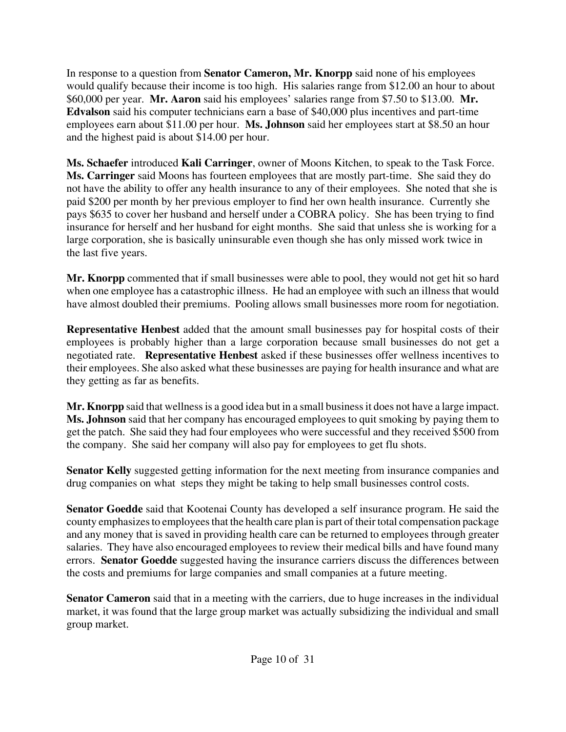In response to a question from **Senator Cameron, Mr. Knorpp** said none of his employees would qualify because their income is too high. His salaries range from \$12.00 an hour to about \$60,000 per year. **Mr. Aaron** said his employees' salaries range from \$7.50 to \$13.00. **Mr. Edvalson** said his computer technicians earn a base of \$40,000 plus incentives and part-time employees earn about \$11.00 per hour. **Ms. Johnson** said her employees start at \$8.50 an hour and the highest paid is about \$14.00 per hour.

**Ms. Schaefer** introduced **Kali Carringer**, owner of Moons Kitchen, to speak to the Task Force. **Ms. Carringer** said Moons has fourteen employees that are mostly part-time. She said they do not have the ability to offer any health insurance to any of their employees. She noted that she is paid \$200 per month by her previous employer to find her own health insurance. Currently she pays \$635 to cover her husband and herself under a COBRA policy. She has been trying to find insurance for herself and her husband for eight months. She said that unless she is working for a large corporation, she is basically uninsurable even though she has only missed work twice in the last five years.

**Mr. Knorpp** commented that if small businesses were able to pool, they would not get hit so hard when one employee has a catastrophic illness. He had an employee with such an illness that would have almost doubled their premiums. Pooling allows small businesses more room for negotiation.

**Representative Henbest** added that the amount small businesses pay for hospital costs of their employees is probably higher than a large corporation because small businesses do not get a negotiated rate. **Representative Henbest** asked if these businesses offer wellness incentives to their employees. She also asked what these businesses are paying for health insurance and what are they getting as far as benefits.

**Mr. Knorpp** said that wellness is a good idea but in a small business it does not have a large impact. **Ms. Johnson** said that her company has encouraged employees to quit smoking by paying them to get the patch. She said they had four employees who were successful and they received \$500 from the company. She said her company will also pay for employees to get flu shots.

**Senator Kelly** suggested getting information for the next meeting from insurance companies and drug companies on what steps they might be taking to help small businesses control costs.

**Senator Goedde** said that Kootenai County has developed a self insurance program. He said the county emphasizes to employees that the health care plan is part of their total compensation package and any money that is saved in providing health care can be returned to employees through greater salaries. They have also encouraged employees to review their medical bills and have found many errors. **Senator Goedde** suggested having the insurance carriers discuss the differences between the costs and premiums for large companies and small companies at a future meeting.

**Senator Cameron** said that in a meeting with the carriers, due to huge increases in the individual market, it was found that the large group market was actually subsidizing the individual and small group market.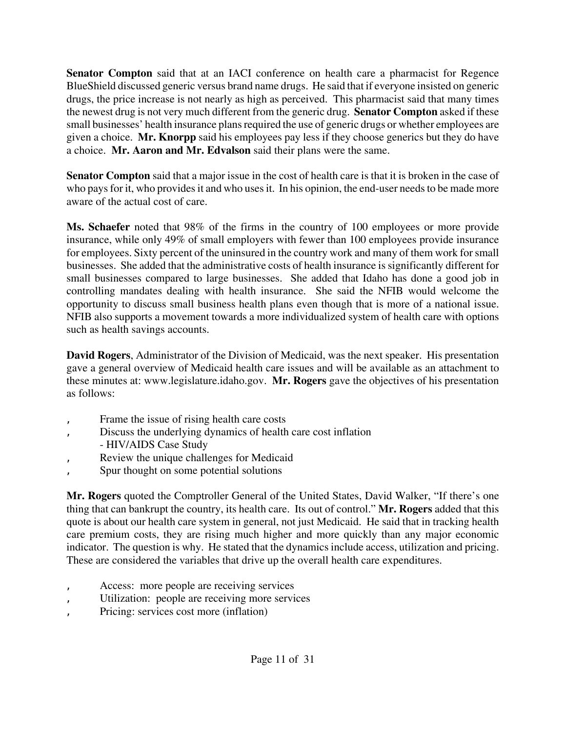**Senator Compton** said that at an IACI conference on health care a pharmacist for Regence BlueShield discussed generic versus brand name drugs. He said that if everyone insisted on generic drugs, the price increase is not nearly as high as perceived. This pharmacist said that many times the newest drug is not very much different from the generic drug. **Senator Compton** asked if these small businesses' health insurance plans required the use of generic drugs or whether employees are given a choice. **Mr. Knorpp** said his employees pay less if they choose generics but they do have a choice. **Mr. Aaron and Mr. Edvalson** said their plans were the same.

**Senator Compton** said that a major issue in the cost of health care is that it is broken in the case of who pays for it, who provides it and who uses it. In his opinion, the end-user needs to be made more aware of the actual cost of care.

**Ms. Schaefer** noted that 98% of the firms in the country of 100 employees or more provide insurance, while only 49% of small employers with fewer than 100 employees provide insurance for employees. Sixty percent of the uninsured in the country work and many of them work for small businesses. She added that the administrative costs of health insurance is significantly different for small businesses compared to large businesses. She added that Idaho has done a good job in controlling mandates dealing with health insurance. She said the NFIB would welcome the opportunity to discuss small business health plans even though that is more of a national issue. NFIB also supports a movement towards a more individualized system of health care with options such as health savings accounts.

**David Rogers**, Administrator of the Division of Medicaid, was the next speaker. His presentation gave a general overview of Medicaid health care issues and will be available as an attachment to these minutes at: [www.legislature.idaho.gov.](http://www.legislature.idaho.gov) **Mr. Rogers** gave the objectives of his presentation as follows:

- Frame the issue of rising health care costs
- Discuss the underlying dynamics of health care cost inflation
- HIV/AIDS Case Study
- Review the unique challenges for Medicaid
- ' Spur thought on some potential solutions

**Mr. Rogers** quoted the Comptroller General of the United States, David Walker, "If there's one thing that can bankrupt the country, its health care. Its out of control." **Mr. Rogers** added that this quote is about our health care system in general, not just Medicaid. He said that in tracking health care premium costs, they are rising much higher and more quickly than any major economic indicator. The question is why. He stated that the dynamics include access, utilization and pricing. These are considered the variables that drive up the overall health care expenditures.

- Access: more people are receiving services
- Utilization: people are receiving more services
- Pricing: services cost more (inflation)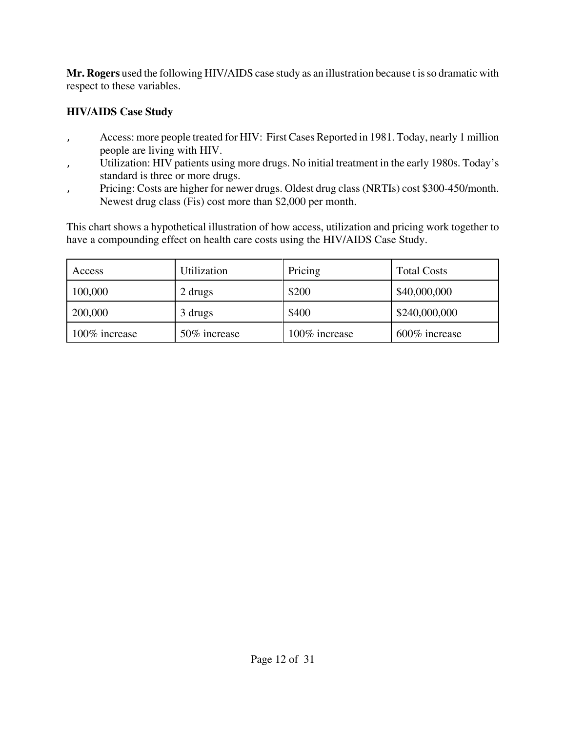**Mr. Rogers** used the following HIV/AIDS case study as an illustration because t is so dramatic with respect to these variables.

#### **HIV/AIDS Case Study**

- Access: more people treated for HIV: First Cases Reported in 1981. Today, nearly 1 million people are living with HIV.
- ' Utilization: HIV patients using more drugs. No initial treatment in the early 1980s. Today's standard is three or more drugs.
- Pricing: Costs are higher for newer drugs. Oldest drug class (NRTIs) cost \$300-450/month. Newest drug class (Fis) cost more than \$2,000 per month.

This chart shows a hypothetical illustration of how access, utilization and pricing work together to have a compounding effect on health care costs using the HIV/AIDS Case Study.

| Access        | Utilization  | Pricing       | <b>Total Costs</b> |
|---------------|--------------|---------------|--------------------|
| 100,000       | 2 drugs      | \$200         | \$40,000,000       |
| 200,000       | 3 drugs      | \$400         | \$240,000,000      |
| 100% increase | 50% increase | 100% increase | 600% increase      |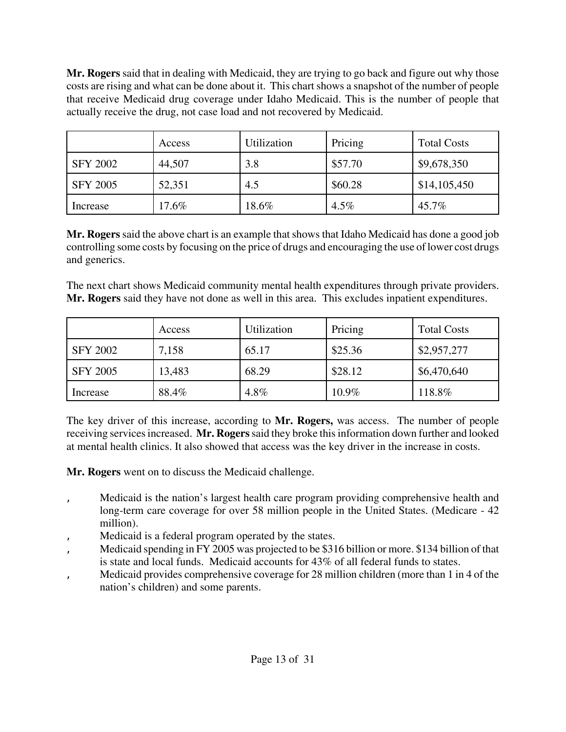**Mr. Rogers** said that in dealing with Medicaid, they are trying to go back and figure out why those costs are rising and what can be done about it. This chart shows a snapshot of the number of people that receive Medicaid drug coverage under Idaho Medicaid. This is the number of people that actually receive the drug, not case load and not recovered by Medicaid.

|                 | Access | Utilization | Pricing | <b>Total Costs</b> |
|-----------------|--------|-------------|---------|--------------------|
| <b>SFY 2002</b> | 44,507 | 3.8         | \$57.70 | \$9,678,350        |
| <b>SFY 2005</b> | 52,351 | 4.5         | \$60.28 | \$14,105,450       |
| Increase        | 17.6%  | 18.6%       | $4.5\%$ | 45.7%              |

**Mr. Rogers** said the above chart is an example that shows that Idaho Medicaid has done a good job controlling some costs by focusing on the price of drugs and encouraging the use of lower cost drugs and generics.

The next chart shows Medicaid community mental health expenditures through private providers. **Mr. Rogers** said they have not done as well in this area. This excludes inpatient expenditures.

|                 | Access | Utilization | Pricing  | <b>Total Costs</b> |
|-----------------|--------|-------------|----------|--------------------|
| <b>SFY 2002</b> | 7,158  | 65.17       | \$25.36  | \$2,957,277        |
| <b>SFY 2005</b> | 13,483 | 68.29       | \$28.12  | \$6,470,640        |
| Increase        | 88.4%  | 4.8%        | $10.9\%$ | 118.8%             |

The key driver of this increase, according to **Mr. Rogers,** was access. The number of people receiving services increased. **Mr. Rogers** said they broke this information down further and looked at mental health clinics. It also showed that access was the key driver in the increase in costs.

**Mr. Rogers** went on to discuss the Medicaid challenge.

- ' Medicaid is the nation's largest health care program providing comprehensive health and long-term care coverage for over 58 million people in the United States. (Medicare - 42 million).
- Medicaid is a federal program operated by the states.
- Medicaid spending in FY 2005 was projected to be \$316 billion or more. \$134 billion of that is state and local funds. Medicaid accounts for 43% of all federal funds to states.
- ' Medicaid provides comprehensive coverage for 28 million children (more than 1 in 4 of the nation's children) and some parents.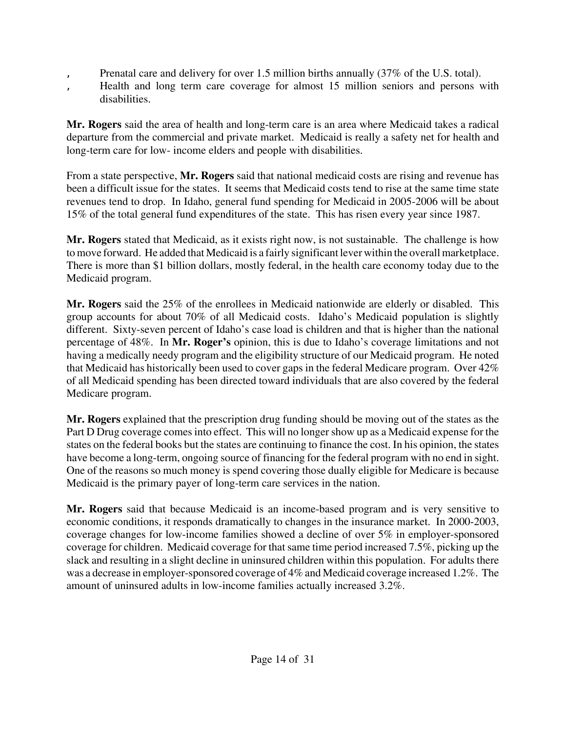- Prenatal care and delivery for over 1.5 million births annually (37% of the U.S. total).
- Health and long term care coverage for almost 15 million seniors and persons with disabilities.

**Mr. Rogers** said the area of health and long-term care is an area where Medicaid takes a radical departure from the commercial and private market. Medicaid is really a safety net for health and long-term care for low- income elders and people with disabilities.

From a state perspective, **Mr. Rogers** said that national medicaid costs are rising and revenue has been a difficult issue for the states. It seems that Medicaid costs tend to rise at the same time state revenues tend to drop. In Idaho, general fund spending for Medicaid in 2005-2006 will be about 15% of the total general fund expenditures of the state. This has risen every year since 1987.

**Mr. Rogers** stated that Medicaid, as it exists right now, is not sustainable. The challenge is how to move forward. He added that Medicaid is a fairly significant lever within the overall marketplace. There is more than \$1 billion dollars, mostly federal, in the health care economy today due to the Medicaid program.

**Mr. Rogers** said the 25% of the enrollees in Medicaid nationwide are elderly or disabled. This group accounts for about 70% of all Medicaid costs. Idaho's Medicaid population is slightly different. Sixty-seven percent of Idaho's case load is children and that is higher than the national percentage of 48%. In **Mr. Roger's** opinion, this is due to Idaho's coverage limitations and not having a medically needy program and the eligibility structure of our Medicaid program. He noted that Medicaid has historically been used to cover gaps in the federal Medicare program. Over 42% of all Medicaid spending has been directed toward individuals that are also covered by the federal Medicare program.

**Mr. Rogers** explained that the prescription drug funding should be moving out of the states as the Part D Drug coverage comes into effect. This will no longer show up as a Medicaid expense for the states on the federal books but the states are continuing to finance the cost. In his opinion, the states have become a long-term, ongoing source of financing for the federal program with no end in sight. One of the reasons so much money is spend covering those dually eligible for Medicare is because Medicaid is the primary payer of long-term care services in the nation.

**Mr. Rogers** said that because Medicaid is an income-based program and is very sensitive to economic conditions, it responds dramatically to changes in the insurance market. In 2000-2003, coverage changes for low-income families showed a decline of over 5% in employer-sponsored coverage for children. Medicaid coverage for that same time period increased 7.5%, picking up the slack and resulting in a slight decline in uninsured children within this population. For adults there was a decrease in employer-sponsored coverage of 4% and Medicaid coverage increased 1.2%. The amount of uninsured adults in low-income families actually increased 3.2%.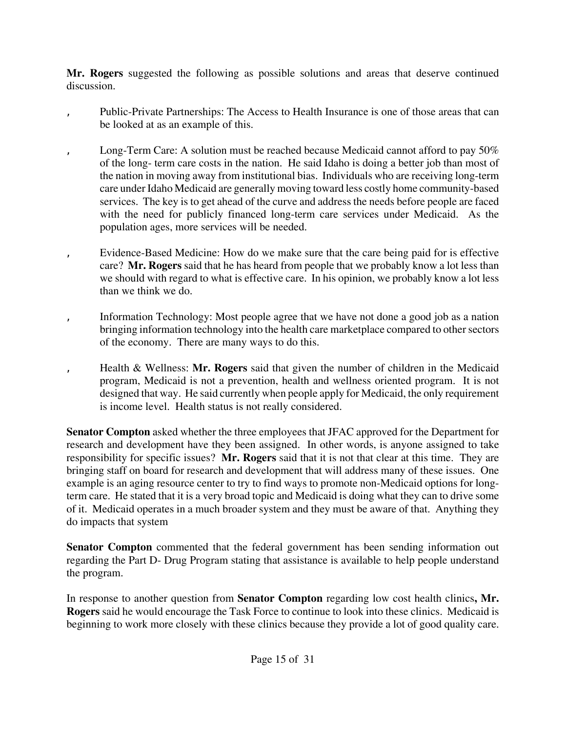**Mr. Rogers** suggested the following as possible solutions and areas that deserve continued discussion.

- Public-Private Partnerships: The Access to Health Insurance is one of those areas that can be looked at as an example of this.
	- Long-Term Care: A solution must be reached because Medicaid cannot afford to pay  $50\%$ of the long- term care costs in the nation. He said Idaho is doing a better job than most of the nation in moving away from institutional bias. Individuals who are receiving long-term care under Idaho Medicaid are generally moving toward less costly home community-based services. The key is to get ahead of the curve and address the needs before people are faced with the need for publicly financed long-term care services under Medicaid. As the population ages, more services will be needed.
	- Evidence-Based Medicine: How do we make sure that the care being paid for is effective care? **Mr. Rogers** said that he has heard from people that we probably know a lot less than we should with regard to what is effective care. In his opinion, we probably know a lot less than we think we do.
- Information Technology: Most people agree that we have not done a good job as a nation bringing information technology into the health care marketplace compared to other sectors of the economy. There are many ways to do this.
- ' Health & Wellness: **Mr. Rogers** said that given the number of children in the Medicaid program, Medicaid is not a prevention, health and wellness oriented program. It is not designed that way. He said currently when people apply for Medicaid, the only requirement is income level. Health status is not really considered.

**Senator Compton** asked whether the three employees that JFAC approved for the Department for research and development have they been assigned. In other words, is anyone assigned to take responsibility for specific issues? **Mr. Rogers** said that it is not that clear at this time. They are bringing staff on board for research and development that will address many of these issues. One example is an aging resource center to try to find ways to promote non-Medicaid options for longterm care. He stated that it is a very broad topic and Medicaid is doing what they can to drive some of it. Medicaid operates in a much broader system and they must be aware of that. Anything they do impacts that system

**Senator Compton** commented that the federal government has been sending information out regarding the Part D- Drug Program stating that assistance is available to help people understand the program.

In response to another question from **Senator Compton** regarding low cost health clinics**, Mr. Rogers** said he would encourage the Task Force to continue to look into these clinics. Medicaid is beginning to work more closely with these clinics because they provide a lot of good quality care.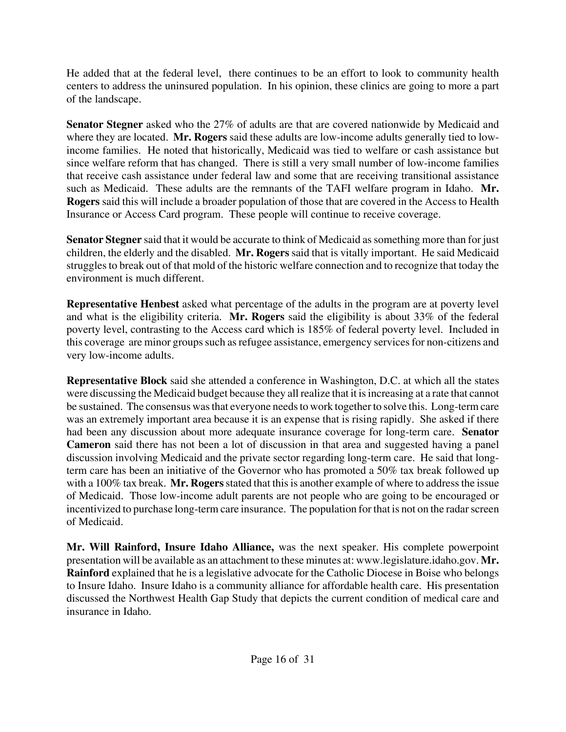He added that at the federal level, there continues to be an effort to look to community health centers to address the uninsured population. In his opinion, these clinics are going to more a part of the landscape.

**Senator Stegner** asked who the 27% of adults are that are covered nationwide by Medicaid and where they are located. **Mr. Rogers** said these adults are low-income adults generally tied to lowincome families. He noted that historically, Medicaid was tied to welfare or cash assistance but since welfare reform that has changed. There is still a very small number of low-income families that receive cash assistance under federal law and some that are receiving transitional assistance such as Medicaid. These adults are the remnants of the TAFI welfare program in Idaho. **Mr. Rogers** said this will include a broader population of those that are covered in the Access to Health Insurance or Access Card program. These people will continue to receive coverage.

**Senator Stegner** said that it would be accurate to think of Medicaid as something more than for just children, the elderly and the disabled. **Mr. Rogers** said that is vitally important. He said Medicaid struggles to break out of that mold of the historic welfare connection and to recognize that today the environment is much different.

**Representative Henbest** asked what percentage of the adults in the program are at poverty level and what is the eligibility criteria. **Mr. Rogers** said the eligibility is about 33% of the federal poverty level, contrasting to the Access card which is 185% of federal poverty level. Included in this coverage are minor groups such as refugee assistance, emergency services for non-citizens and very low-income adults.

**Representative Block** said she attended a conference in Washington, D.C. at which all the states were discussing the Medicaid budget because they all realize that it is increasing at a rate that cannot be sustained. The consensus was that everyone needs to work together to solve this. Long-term care was an extremely important area because it is an expense that is rising rapidly. She asked if there had been any discussion about more adequate insurance coverage for long-term care. **Senator Cameron** said there has not been a lot of discussion in that area and suggested having a panel discussion involving Medicaid and the private sector regarding long-term care. He said that longterm care has been an initiative of the Governor who has promoted a 50% tax break followed up with a 100% tax break. **Mr. Rogers** stated that this is another example of where to address the issue of Medicaid. Those low-income adult parents are not people who are going to be encouraged or incentivized to purchase long-term care insurance. The population for that is not on the radar screen of Medicaid.

**Mr. Will Rainford, Insure Idaho Alliance,** was the next speaker. His complete powerpoint presentation will be available as an attachment to these minutes at: [www.legislature.idaho.gov.](http://www.legislature.idaho.gov) **Mr. Rainford** explained that he is a legislative advocate for the Catholic Diocese in Boise who belongs to Insure Idaho. Insure Idaho is a community alliance for affordable health care. His presentation discussed the Northwest Health Gap Study that depicts the current condition of medical care and insurance in Idaho.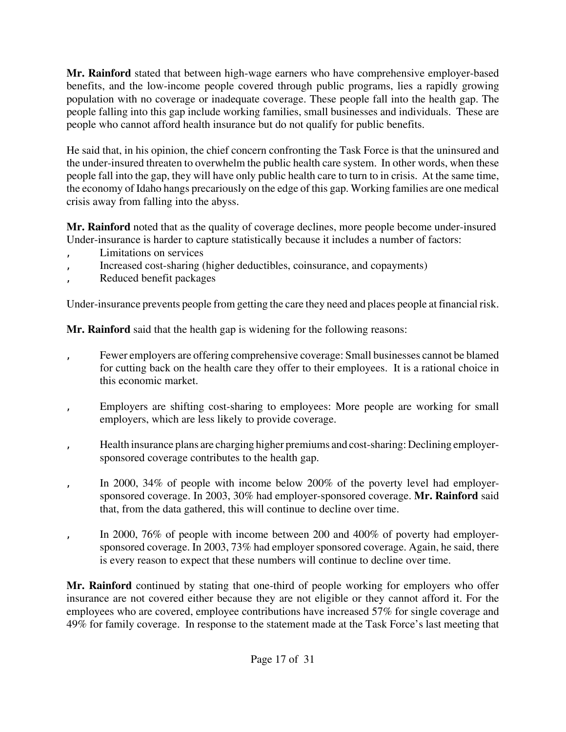**Mr. Rainford** stated that between high-wage earners who have comprehensive employer-based benefits, and the low-income people covered through public programs, lies a rapidly growing population with no coverage or inadequate coverage. These people fall into the health gap. The people falling into this gap include working families, small businesses and individuals. These are people who cannot afford health insurance but do not qualify for public benefits.

He said that, in his opinion, the chief concern confronting the Task Force is that the uninsured and the under-insured threaten to overwhelm the public health care system. In other words, when these people fall into the gap, they will have only public health care to turn to in crisis. At the same time, the economy of Idaho hangs precariously on the edge of this gap. Working families are one medical crisis away from falling into the abyss.

**Mr. Rainford** noted that as the quality of coverage declines, more people become under-insured Under-insurance is harder to capture statistically because it includes a number of factors:

- Limitations on services
- ' Increased cost-sharing (higher deductibles, coinsurance, and copayments)
- Reduced benefit packages

Under-insurance prevents people from getting the care they need and places people at financial risk.

**Mr. Rainford** said that the health gap is widening for the following reasons:

- Fewer employers are offering comprehensive coverage: Small businesses cannot be blamed for cutting back on the health care they offer to their employees. It is a rational choice in this economic market.
- Employers are shifting cost-sharing to employees: More people are working for small employers, which are less likely to provide coverage.
- ' Health insurance plans are charging higher premiums and cost-sharing: Declining employersponsored coverage contributes to the health gap.
- In 2000, 34% of people with income below 200% of the poverty level had employersponsored coverage. In 2003, 30% had employer-sponsored coverage. **Mr. Rainford** said that, from the data gathered, this will continue to decline over time.
- In 2000, 76% of people with income between 200 and 400% of poverty had employersponsored coverage. In 2003, 73% had employer sponsored coverage. Again, he said, there is every reason to expect that these numbers will continue to decline over time.

**Mr. Rainford** continued by stating that one-third of people working for employers who offer insurance are not covered either because they are not eligible or they cannot afford it. For the employees who are covered, employee contributions have increased 57% for single coverage and 49% for family coverage. In response to the statement made at the Task Force's last meeting that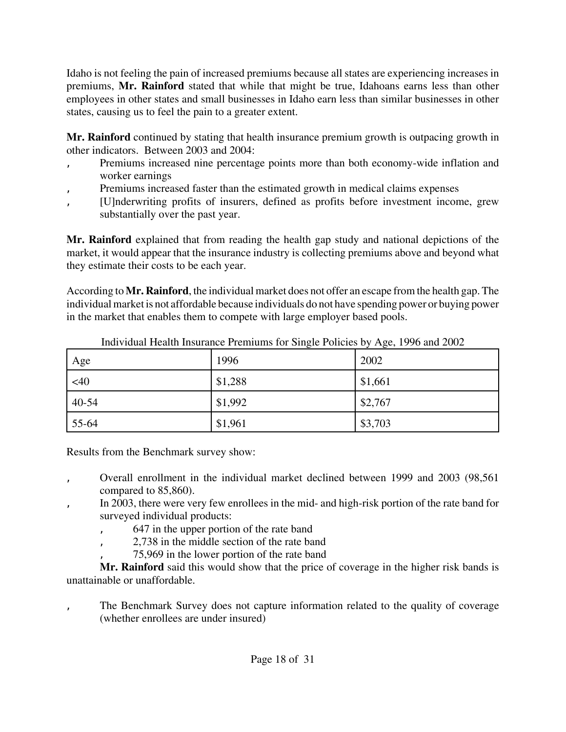Idaho is not feeling the pain of increased premiums because all states are experiencing increases in premiums, **Mr. Rainford** stated that while that might be true, Idahoans earns less than other employees in other states and small businesses in Idaho earn less than similar businesses in other states, causing us to feel the pain to a greater extent.

**Mr. Rainford** continued by stating that health insurance premium growth is outpacing growth in other indicators. Between 2003 and 2004:

- Premiums increased nine percentage points more than both economy-wide inflation and worker earnings
- Premiums increased faster than the estimated growth in medical claims expenses
- ' [U]nderwriting profits of insurers, defined as profits before investment income, grew substantially over the past year.

**Mr. Rainford** explained that from reading the health gap study and national depictions of the market, it would appear that the insurance industry is collecting premiums above and beyond what they estimate their costs to be each year.

According to **Mr. Rainford**, the individual market does not offer an escape from the health gap. The individual market is not affordable because individuals do not have spending power or buying power in the market that enables them to compete with large employer based pools.

| Age   | 1996    | 2002    |
|-------|---------|---------|
| <40   | \$1,288 | \$1,661 |
| 40-54 | \$1,992 | \$2,767 |
| 55-64 | \$1,961 | \$3,703 |

Individual Health Insurance Premiums for Single Policies by Age, 1996 and 2002

Results from the Benchmark survey show:

- ' Overall enrollment in the individual market declined between 1999 and 2003 (98,561 compared to 85,860).
- In 2003, there were very few enrollees in the mid- and high-risk portion of the rate band for surveyed individual products:
	- ' 647 in the upper portion of the rate band
	- ' 2,738 in the middle section of the rate band
	- ' 75,969 in the lower portion of the rate band

**Mr. Rainford** said this would show that the price of coverage in the higher risk bands is unattainable or unaffordable.

The Benchmark Survey does not capture information related to the quality of coverage (whether enrollees are under insured)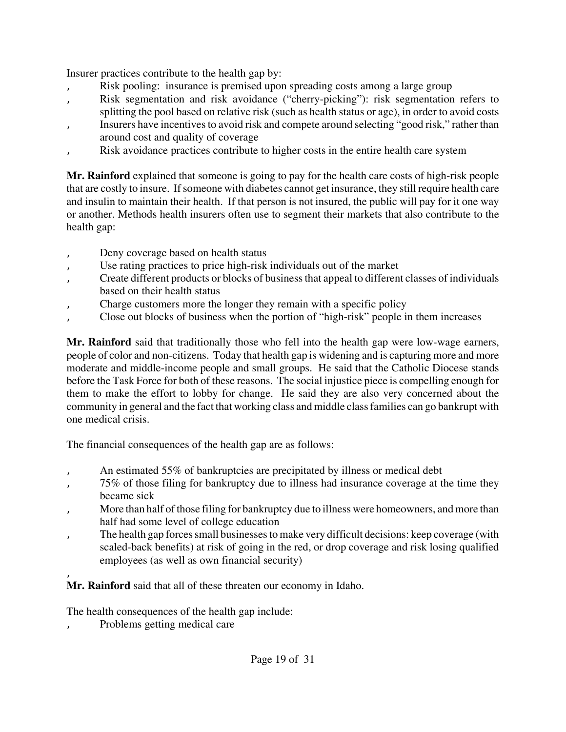Insurer practices contribute to the health gap by:

- Risk pooling: insurance is premised upon spreading costs among a large group
- Risk segmentation and risk avoidance ("cherry-picking"): risk segmentation refers to
- splitting the pool based on relative risk (such as health status or age), in order to avoid costs
- ' Insurers have incentives to avoid risk and compete around selecting "good risk," rather than around cost and quality of coverage
- Risk avoidance practices contribute to higher costs in the entire health care system

**Mr. Rainford** explained that someone is going to pay for the health care costs of high-risk people that are costly to insure. If someone with diabetes cannot get insurance, they still require health care and insulin to maintain their health. If that person is not insured, the public will pay for it one way or another. Methods health insurers often use to segment their markets that also contribute to the health gap:

- Deny coverage based on health status
- Use rating practices to price high-risk individuals out of the market
- ' Create different products or blocks of business that appeal to different classes of individuals based on their health status
- Charge customers more the longer they remain with a specific policy
- Close out blocks of business when the portion of "high-risk" people in them increases

**Mr. Rainford** said that traditionally those who fell into the health gap were low-wage earners, people of color and non-citizens. Today that health gap is widening and is capturing more and more moderate and middle-income people and small groups. He said that the Catholic Diocese stands before the Task Force for both of these reasons. The social injustice piece is compelling enough for them to make the effort to lobby for change. He said they are also very concerned about the community in general and the fact that working class and middle class families can go bankrupt with one medical crisis.

The financial consequences of the health gap are as follows:

- An estimated 55% of bankruptcies are precipitated by illness or medical debt
- ' 75% of those filing for bankruptcy due to illness had insurance coverage at the time they became sick
- More than half of those filing for bankruptcy due to illness were homeowners, and more than half had some level of college education
- ' The health gap forces small businesses to make very difficult decisions: keep coverage (with scaled-back benefits) at risk of going in the red, or drop coverage and risk losing qualified employees (as well as own financial security)

' **Mr. Rainford** said that all of these threaten our economy in Idaho.

The health consequences of the health gap include:

Problems getting medical care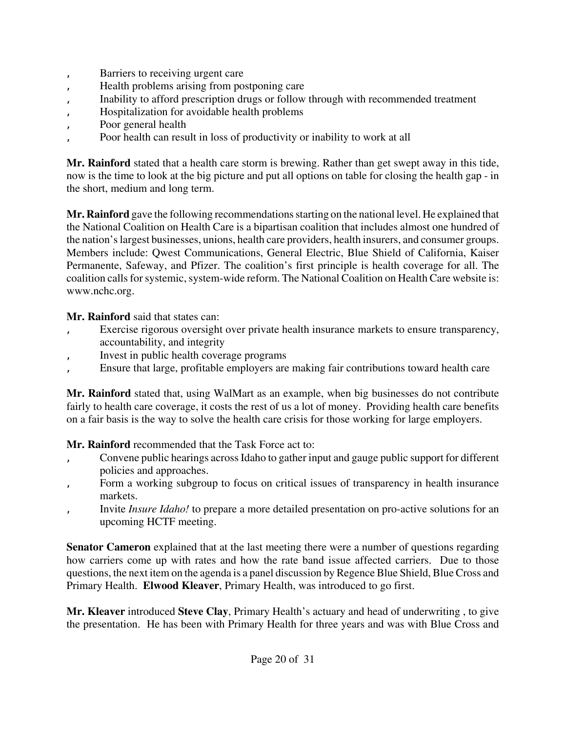- Barriers to receiving urgent care
- ' Health problems arising from postponing care
- ' Inability to afford prescription drugs or follow through with recommended treatment
- ' Hospitalization for avoidable health problems
- Poor general health
- ' Poor health can result in loss of productivity or inability to work at all

**Mr. Rainford** stated that a health care storm is brewing. Rather than get swept away in this tide, now is the time to look at the big picture and put all options on table for closing the health gap - in the short, medium and long term.

**Mr. Rainford** gave the following recommendations starting on the national level. He explained that the National Coalition on Health Care is a bipartisan coalition that includes almost one hundred of the nation's largest businesses, unions, health care providers, health insurers, and consumer groups. Members include: Qwest Communications, General Electric, Blue Shield of California, Kaiser Permanente, Safeway, and Pfizer. The coalition's first principle is health coverage for all. The coalition calls for systemic, system-wide reform. The National Coalition on Health Care website is: [www.nchc.org.](http://www.nchc.org)

**Mr. Rainford** said that states can:

- Exercise rigorous oversight over private health insurance markets to ensure transparency, accountability, and integrity
- Invest in public health coverage programs
- ' Ensure that large, profitable employers are making fair contributions toward health care

**Mr. Rainford** stated that, using WalMart as an example, when big businesses do not contribute fairly to health care coverage, it costs the rest of us a lot of money. Providing health care benefits on a fair basis is the way to solve the health care crisis for those working for large employers.

**Mr. Rainford** recommended that the Task Force act to:

- ' Convene public hearings across Idaho to gather input and gauge public support for different policies and approaches.
- Form a working subgroup to focus on critical issues of transparency in health insurance markets.
- ' Invite *Insure Idaho!* to prepare a more detailed presentation on pro-active solutions for an upcoming HCTF meeting.

**Senator Cameron** explained that at the last meeting there were a number of questions regarding how carriers come up with rates and how the rate band issue affected carriers. Due to those questions, the next item on the agenda is a panel discussion by Regence Blue Shield, Blue Cross and Primary Health. **Elwood Kleaver**, Primary Health, was introduced to go first.

**Mr. Kleaver** introduced **Steve Clay**, Primary Health's actuary and head of underwriting , to give the presentation. He has been with Primary Health for three years and was with Blue Cross and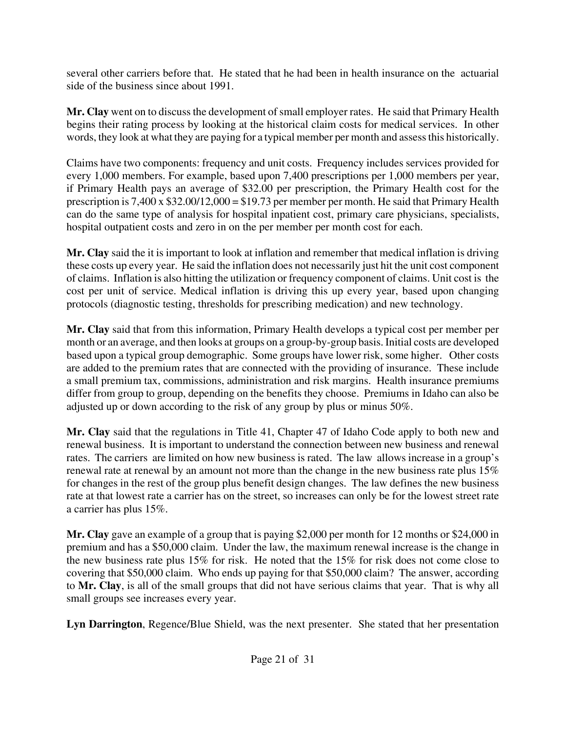several other carriers before that. He stated that he had been in health insurance on the actuarial side of the business since about 1991.

**Mr. Clay** went on to discuss the development of small employer rates. He said that Primary Health begins their rating process by looking at the historical claim costs for medical services. In other words, they look at what they are paying for a typical member per month and assess this historically.

Claims have two components: frequency and unit costs. Frequency includes services provided for every 1,000 members. For example, based upon 7,400 prescriptions per 1,000 members per year, if Primary Health pays an average of \$32.00 per prescription, the Primary Health cost for the prescription is 7,400 x \$32.00/12,000 = \$19.73 per member per month. He said that Primary Health can do the same type of analysis for hospital inpatient cost, primary care physicians, specialists, hospital outpatient costs and zero in on the per member per month cost for each.

**Mr. Clay** said the it is important to look at inflation and remember that medical inflation is driving these costs up every year. He said the inflation does not necessarily just hit the unit cost component of claims. Inflation is also hitting the utilization or frequency component of claims. Unit cost is the cost per unit of service. Medical inflation is driving this up every year, based upon changing protocols (diagnostic testing, thresholds for prescribing medication) and new technology.

**Mr. Clay** said that from this information, Primary Health develops a typical cost per member per month or an average, and then looks at groups on a group-by-group basis. Initial costs are developed based upon a typical group demographic. Some groups have lower risk, some higher. Other costs are added to the premium rates that are connected with the providing of insurance. These include a small premium tax, commissions, administration and risk margins. Health insurance premiums differ from group to group, depending on the benefits they choose. Premiums in Idaho can also be adjusted up or down according to the risk of any group by plus or minus 50%.

**Mr. Clay** said that the regulations in Title 41, Chapter 47 of Idaho Code apply to both new and renewal business. It is important to understand the connection between new business and renewal rates. The carriers are limited on how new business is rated. The law allows increase in a group's renewal rate at renewal by an amount not more than the change in the new business rate plus 15% for changes in the rest of the group plus benefit design changes. The law defines the new business rate at that lowest rate a carrier has on the street, so increases can only be for the lowest street rate a carrier has plus 15%.

**Mr. Clay** gave an example of a group that is paying \$2,000 per month for 12 months or \$24,000 in premium and has a \$50,000 claim. Under the law, the maximum renewal increase is the change in the new business rate plus 15% for risk. He noted that the 15% for risk does not come close to covering that \$50,000 claim. Who ends up paying for that \$50,000 claim? The answer, according to **Mr. Clay**, is all of the small groups that did not have serious claims that year. That is why all small groups see increases every year.

**Lyn Darrington**, Regence/Blue Shield, was the next presenter. She stated that her presentation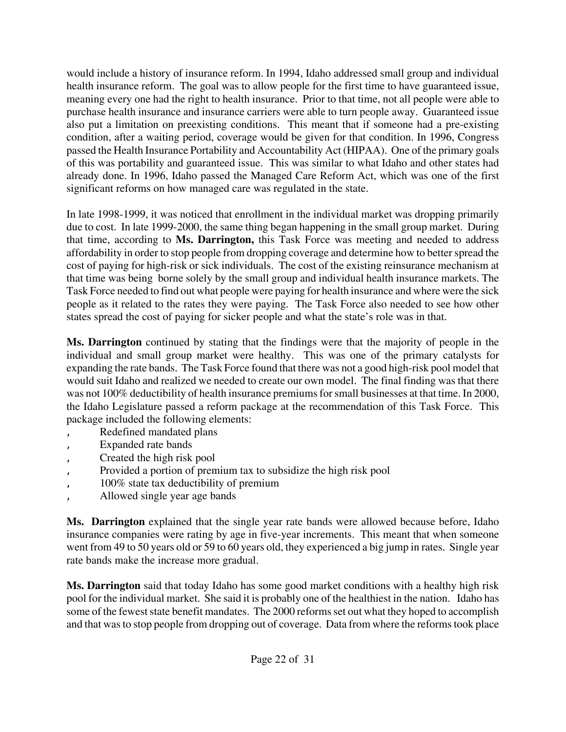would include a history of insurance reform. In 1994, Idaho addressed small group and individual health insurance reform. The goal was to allow people for the first time to have guaranteed issue, meaning every one had the right to health insurance. Prior to that time, not all people were able to purchase health insurance and insurance carriers were able to turn people away. Guaranteed issue also put a limitation on preexisting conditions. This meant that if someone had a pre-existing condition, after a waiting period, coverage would be given for that condition. In 1996, Congress passed the Health Insurance Portability and Accountability Act (HIPAA). One of the primary goals of this was portability and guaranteed issue. This was similar to what Idaho and other states had already done. In 1996, Idaho passed the Managed Care Reform Act, which was one of the first significant reforms on how managed care was regulated in the state.

In late 1998-1999, it was noticed that enrollment in the individual market was dropping primarily due to cost. In late 1999-2000, the same thing began happening in the small group market. During that time, according to **Ms. Darrington,** this Task Force was meeting and needed to address affordability in order to stop people from dropping coverage and determine how to better spread the cost of paying for high-risk or sick individuals. The cost of the existing reinsurance mechanism at that time was being borne solely by the small group and individual health insurance markets. The Task Force needed to find out what people were paying for health insurance and where were the sick people as it related to the rates they were paying. The Task Force also needed to see how other states spread the cost of paying for sicker people and what the state's role was in that.

**Ms. Darrington** continued by stating that the findings were that the majority of people in the individual and small group market were healthy. This was one of the primary catalysts for expanding the rate bands. The Task Force found that there was not a good high-risk pool model that would suit Idaho and realized we needed to create our own model. The final finding was that there was not 100% deductibility of health insurance premiums for small businesses at that time. In 2000, the Idaho Legislature passed a reform package at the recommendation of this Task Force. This package included the following elements:

- Redefined mandated plans
- Expanded rate bands
- Created the high risk pool
- Provided a portion of premium tax to subsidize the high risk pool
- ' 100% state tax deductibility of premium
- ' Allowed single year age bands

**Ms. Darrington** explained that the single year rate bands were allowed because before, Idaho insurance companies were rating by age in five-year increments. This meant that when someone went from 49 to 50 years old or 59 to 60 years old, they experienced a big jump in rates. Single year rate bands make the increase more gradual.

**Ms. Darrington** said that today Idaho has some good market conditions with a healthy high risk pool for the individual market. She said it is probably one of the healthiest in the nation. Idaho has some of the fewest state benefit mandates. The 2000 reforms set out what they hoped to accomplish and that was to stop people from dropping out of coverage. Data from where the reforms took place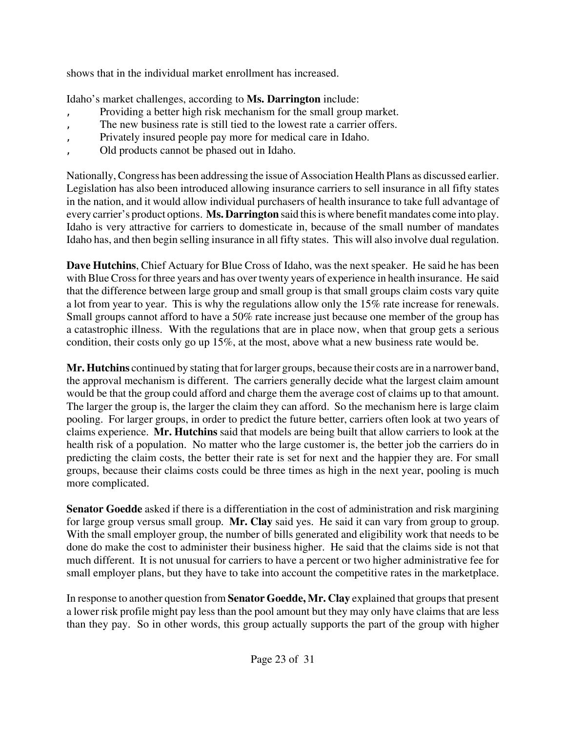shows that in the individual market enrollment has increased.

Idaho's market challenges, according to **Ms. Darrington** include:

- Providing a better high risk mechanism for the small group market.
- The new business rate is still tied to the lowest rate a carrier offers.
- Privately insured people pay more for medical care in Idaho.
- ' Old products cannot be phased out in Idaho.

Nationally, Congress has been addressing the issue of Association Health Plans as discussed earlier. Legislation has also been introduced allowing insurance carriers to sell insurance in all fifty states in the nation, and it would allow individual purchasers of health insurance to take full advantage of every carrier's product options. **Ms. Darrington** said this is where benefit mandates come into play. Idaho is very attractive for carriers to domesticate in, because of the small number of mandates Idaho has, and then begin selling insurance in all fifty states. This will also involve dual regulation.

**Dave Hutchins**, Chief Actuary for Blue Cross of Idaho, was the next speaker. He said he has been with Blue Cross for three years and has over twenty years of experience in health insurance. He said that the difference between large group and small group is that small groups claim costs vary quite a lot from year to year. This is why the regulations allow only the 15% rate increase for renewals. Small groups cannot afford to have a 50% rate increase just because one member of the group has a catastrophic illness. With the regulations that are in place now, when that group gets a serious condition, their costs only go up 15%, at the most, above what a new business rate would be.

**Mr. Hutchins** continued by stating that for larger groups, because their costs are in a narrower band, the approval mechanism is different. The carriers generally decide what the largest claim amount would be that the group could afford and charge them the average cost of claims up to that amount. The larger the group is, the larger the claim they can afford. So the mechanism here is large claim pooling. For larger groups, in order to predict the future better, carriers often look at two years of claims experience. **Mr. Hutchins** said that models are being built that allow carriers to look at the health risk of a population. No matter who the large customer is, the better job the carriers do in predicting the claim costs, the better their rate is set for next and the happier they are. For small groups, because their claims costs could be three times as high in the next year, pooling is much more complicated.

**Senator Goedde** asked if there is a differentiation in the cost of administration and risk margining for large group versus small group. **Mr. Clay** said yes. He said it can vary from group to group. With the small employer group, the number of bills generated and eligibility work that needs to be done do make the cost to administer their business higher. He said that the claims side is not that much different. It is not unusual for carriers to have a percent or two higher administrative fee for small employer plans, but they have to take into account the competitive rates in the marketplace.

In response to another question from **Senator Goedde, Mr. Clay** explained that groups that present a lower risk profile might pay less than the pool amount but they may only have claims that are less than they pay. So in other words, this group actually supports the part of the group with higher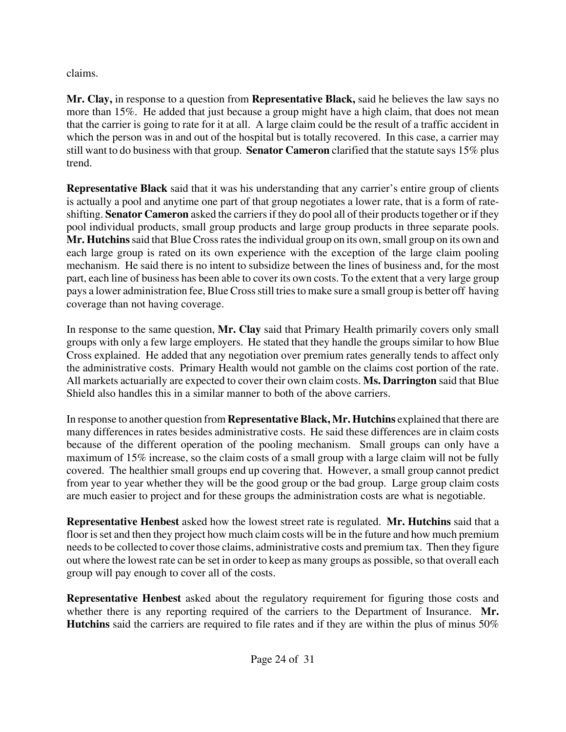claims.

**Mr. Clay,** in response to a question from **Representative Black,** said he believes the law says no more than 15%. He added that just because a group might have a high claim, that does not mean that the carrier is going to rate for it at all. A large claim could be the result of a traffic accident in which the person was in and out of the hospital but is totally recovered. In this case, a carrier may still want to do business with that group. **Senator Cameron** clarified that the statute says 15% plus trend.

**Representative Black** said that it was his understanding that any carrier's entire group of clients is actually a pool and anytime one part of that group negotiates a lower rate, that is a form of rateshifting. **Senator Cameron** asked the carriers if they do pool all of their products together or if they pool individual products, small group products and large group products in three separate pools. **Mr. Hutchins** said that Blue Cross rates the individual group on its own, small group on its own and each large group is rated on its own experience with the exception of the large claim pooling mechanism. He said there is no intent to subsidize between the lines of business and, for the most part, each line of business has been able to cover its own costs. To the extent that a very large group pays a lower administration fee, Blue Cross still tries to make sure a small group is better off having coverage than not having coverage.

In response to the same question, **Mr. Clay** said that Primary Health primarily covers only small groups with only a few large employers. He stated that they handle the groups similar to how Blue Cross explained. He added that any negotiation over premium rates generally tends to affect only the administrative costs. Primary Health would not gamble on the claims cost portion of the rate. All markets actuarially are expected to cover their own claim costs. **Ms. Darrington** said that Blue Shield also handles this in a similar manner to both of the above carriers.

In response to another question from **Representative Black, Mr. Hutchins** explained that there are many differences in rates besides administrative costs. He said these differences are in claim costs because of the different operation of the pooling mechanism. Small groups can only have a maximum of 15% increase, so the claim costs of a small group with a large claim will not be fully covered. The healthier small groups end up covering that. However, a small group cannot predict from year to year whether they will be the good group or the bad group. Large group claim costs are much easier to project and for these groups the administration costs are what is negotiable.

**Representative Henbest** asked how the lowest street rate is regulated. **Mr. Hutchins** said that a floor is set and then they project how much claim costs will be in the future and how much premium needs to be collected to cover those claims, administrative costs and premium tax. Then they figure out where the lowest rate can be set in order to keep as many groups as possible, so that overall each group will pay enough to cover all of the costs.

**Representative Henbest** asked about the regulatory requirement for figuring those costs and whether there is any reporting required of the carriers to the Department of Insurance. **Mr. Hutchins** said the carriers are required to file rates and if they are within the plus of minus 50%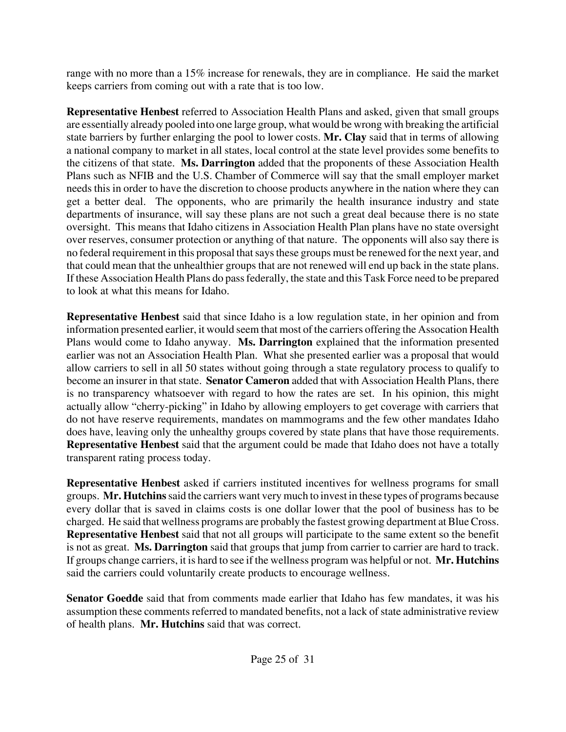range with no more than a 15% increase for renewals, they are in compliance. He said the market keeps carriers from coming out with a rate that is too low.

**Representative Henbest** referred to Association Health Plans and asked, given that small groups are essentially already pooled into one large group, what would be wrong with breaking the artificial state barriers by further enlarging the pool to lower costs. **Mr. Clay** said that in terms of allowing a national company to market in all states, local control at the state level provides some benefits to the citizens of that state. **Ms. Darrington** added that the proponents of these Association Health Plans such as NFIB and the U.S. Chamber of Commerce will say that the small employer market needs this in order to have the discretion to choose products anywhere in the nation where they can get a better deal. The opponents, who are primarily the health insurance industry and state departments of insurance, will say these plans are not such a great deal because there is no state oversight. This means that Idaho citizens in Association Health Plan plans have no state oversight over reserves, consumer protection or anything of that nature. The opponents will also say there is no federal requirement in this proposal that says these groups must be renewed for the next year, and that could mean that the unhealthier groups that are not renewed will end up back in the state plans. If these Association Health Plans do pass federally, the state and this Task Force need to be prepared to look at what this means for Idaho.

**Representative Henbest** said that since Idaho is a low regulation state, in her opinion and from information presented earlier, it would seem that most of the carriers offering the Assocation Health Plans would come to Idaho anyway. **Ms. Darrington** explained that the information presented earlier was not an Association Health Plan. What she presented earlier was a proposal that would allow carriers to sell in all 50 states without going through a state regulatory process to qualify to become an insurer in that state. **Senator Cameron** added that with Association Health Plans, there is no transparency whatsoever with regard to how the rates are set. In his opinion, this might actually allow "cherry-picking" in Idaho by allowing employers to get coverage with carriers that do not have reserve requirements, mandates on mammograms and the few other mandates Idaho does have, leaving only the unhealthy groups covered by state plans that have those requirements. **Representative Henbest** said that the argument could be made that Idaho does not have a totally transparent rating process today.

**Representative Henbest** asked if carriers instituted incentives for wellness programs for small groups. **Mr. Hutchins** said the carriers want very much to invest in these types of programs because every dollar that is saved in claims costs is one dollar lower that the pool of business has to be charged. He said that wellness programs are probably the fastest growing department at Blue Cross. **Representative Henbest** said that not all groups will participate to the same extent so the benefit is not as great. **Ms. Darrington** said that groups that jump from carrier to carrier are hard to track. If groups change carriers, it is hard to see if the wellness program was helpful or not. **Mr. Hutchins** said the carriers could voluntarily create products to encourage wellness.

**Senator Goedde** said that from comments made earlier that Idaho has few mandates, it was his assumption these comments referred to mandated benefits, not a lack of state administrative review of health plans. **Mr. Hutchins** said that was correct.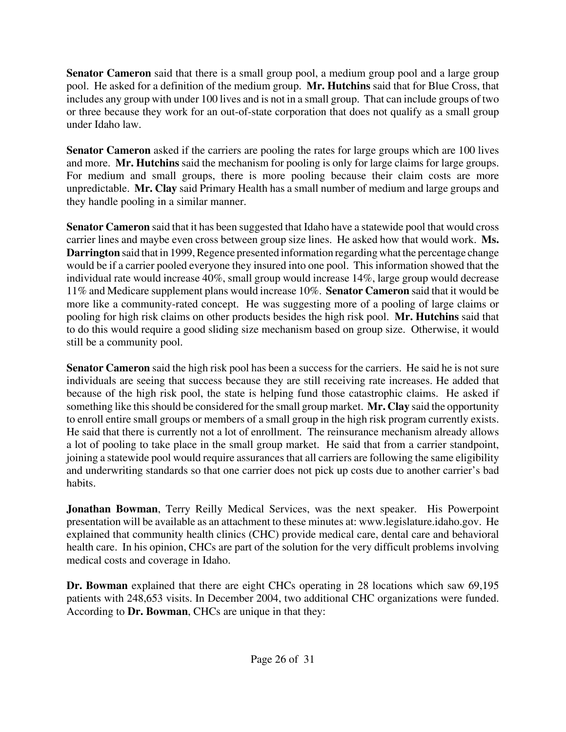**Senator Cameron** said that there is a small group pool, a medium group pool and a large group pool. He asked for a definition of the medium group. **Mr. Hutchins** said that for Blue Cross, that includes any group with under 100 lives and is not in a small group. That can include groups of two or three because they work for an out-of-state corporation that does not qualify as a small group under Idaho law.

**Senator Cameron** asked if the carriers are pooling the rates for large groups which are 100 lives and more. **Mr. Hutchins** said the mechanism for pooling is only for large claims for large groups. For medium and small groups, there is more pooling because their claim costs are more unpredictable. **Mr. Clay** said Primary Health has a small number of medium and large groups and they handle pooling in a similar manner.

**Senator Cameron** said that it has been suggested that Idaho have a statewide pool that would cross carrier lines and maybe even cross between group size lines. He asked how that would work. **Ms. Darrington** said that in 1999, Regence presented information regarding what the percentage change would be if a carrier pooled everyone they insured into one pool. This information showed that the individual rate would increase 40%, small group would increase 14%, large group would decrease 11% and Medicare supplement plans would increase 10%. **Senator Cameron** said that it would be more like a community-rated concept. He was suggesting more of a pooling of large claims or pooling for high risk claims on other products besides the high risk pool. **Mr. Hutchins** said that to do this would require a good sliding size mechanism based on group size. Otherwise, it would still be a community pool.

**Senator Cameron** said the high risk pool has been a success for the carriers. He said he is not sure individuals are seeing that success because they are still receiving rate increases. He added that because of the high risk pool, the state is helping fund those catastrophic claims. He asked if something like this should be considered for the small group market. **Mr. Clay** said the opportunity to enroll entire small groups or members of a small group in the high risk program currently exists. He said that there is currently not a lot of enrollment. The reinsurance mechanism already allows a lot of pooling to take place in the small group market. He said that from a carrier standpoint, joining a statewide pool would require assurances that all carriers are following the same eligibility and underwriting standards so that one carrier does not pick up costs due to another carrier's bad habits.

**Jonathan Bowman**, Terry Reilly Medical Services, was the next speaker. His Powerpoint presentation will be available as an attachment to these minutes at[: www.legislature.idaho.gov.](http://www.legislature.idaho.gov) He explained that community health clinics (CHC) provide medical care, dental care and behavioral health care. In his opinion, CHCs are part of the solution for the very difficult problems involving medical costs and coverage in Idaho.

**Dr. Bowman** explained that there are eight CHCs operating in 28 locations which saw 69,195 patients with 248,653 visits. In December 2004, two additional CHC organizations were funded. According to **Dr. Bowman**, CHCs are unique in that they: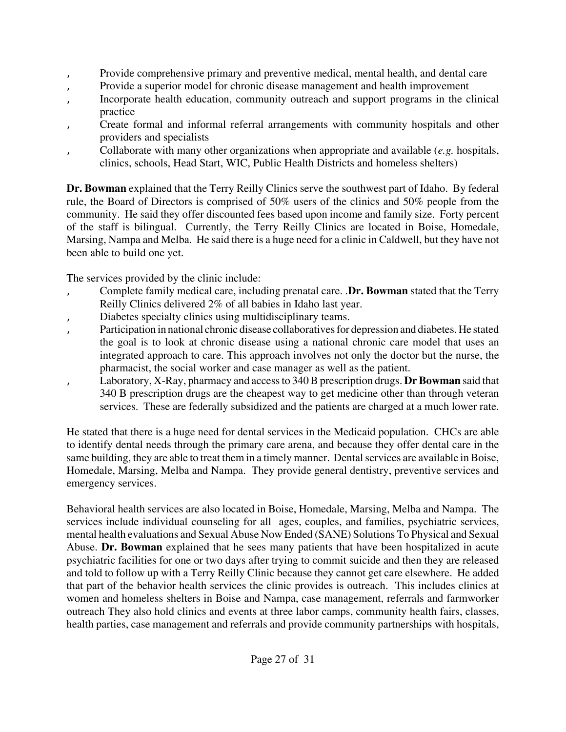- Provide comprehensive primary and preventive medical, mental health, and dental care
- Provide a superior model for chronic disease management and health improvement
- Incorporate health education, community outreach and support programs in the clinical practice
- ' Create formal and informal referral arrangements with community hospitals and other providers and specialists
- ' Collaborate with many other organizations when appropriate and available (*e.g.* hospitals, clinics, schools, Head Start, WIC, Public Health Districts and homeless shelters)

**Dr. Bowman** explained that the Terry Reilly Clinics serve the southwest part of Idaho. By federal rule, the Board of Directors is comprised of 50% users of the clinics and 50% people from the community. He said they offer discounted fees based upon income and family size. Forty percent of the staff is bilingual. Currently, the Terry Reilly Clinics are located in Boise, Homedale, Marsing, Nampa and Melba. He said there is a huge need for a clinic in Caldwell, but they have not been able to build one yet.

The services provided by the clinic include:

- ' Complete family medical care, including prenatal care. .**Dr. Bowman** stated that the Terry Reilly Clinics delivered 2% of all babies in Idaho last year.
- Diabetes specialty clinics using multidisciplinary teams.
- Participation in national chronic disease collaboratives for depression and diabetes. He stated the goal is to look at chronic disease using a national chronic care model that uses an integrated approach to care. This approach involves not only the doctor but the nurse, the pharmacist, the social worker and case manager as well as the patient.
- ' Laboratory, X-Ray, pharmacy and access to 340 B prescription drugs. **Dr Bowman** said that 340 B prescription drugs are the cheapest way to get medicine other than through veteran services. These are federally subsidized and the patients are charged at a much lower rate.

He stated that there is a huge need for dental services in the Medicaid population. CHCs are able to identify dental needs through the primary care arena, and because they offer dental care in the same building, they are able to treat them in a timely manner. Dental services are available in Boise, Homedale, Marsing, Melba and Nampa. They provide general dentistry, preventive services and emergency services.

Behavioral health services are also located in Boise, Homedale, Marsing, Melba and Nampa. The services include individual counseling for all ages, couples, and families, psychiatric services, mental health evaluations and Sexual Abuse Now Ended (SANE) Solutions To Physical and Sexual Abuse. **Dr. Bowman** explained that he sees many patients that have been hospitalized in acute psychiatric facilities for one or two days after trying to commit suicide and then they are released and told to follow up with a Terry Reilly Clinic because they cannot get care elsewhere. He added that part of the behavior health services the clinic provides is outreach. This includes clinics at women and homeless shelters in Boise and Nampa, case management, referrals and farmworker outreach They also hold clinics and events at three labor camps, community health fairs, classes, health parties, case management and referrals and provide community partnerships with hospitals,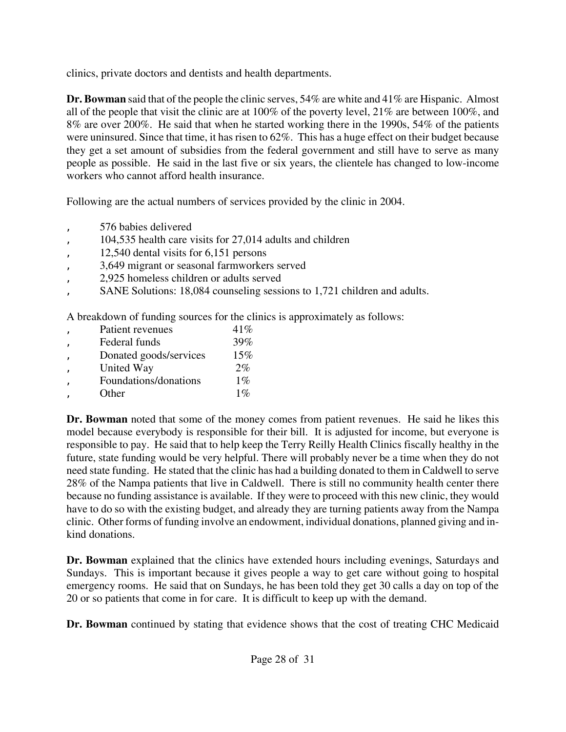clinics, private doctors and dentists and health departments.

**Dr. Bowman** said that of the people the clinic serves, 54% are white and 41% are Hispanic. Almost all of the people that visit the clinic are at 100% of the poverty level, 21% are between 100%, and 8% are over 200%. He said that when he started working there in the 1990s, 54% of the patients were uninsured. Since that time, it has risen to 62%. This has a huge effect on their budget because they get a set amount of subsidies from the federal government and still have to serve as many people as possible. He said in the last five or six years, the clientele has changed to low-income workers who cannot afford health insurance.

Following are the actual numbers of services provided by the clinic in 2004.

- ' 576 babies delivered
- ' 104,535 health care visits for 27,014 adults and children
- ' 12,540 dental visits for 6,151 persons
- ' 3,649 migrant or seasonal farmworkers served
- ' 2,925 homeless children or adults served
- SANE Solutions: 18,084 counseling sessions to 1,721 children and adults.

A breakdown of funding sources for the clinics is approximately as follows:

| Patient revenues       | 41%   |
|------------------------|-------|
| Federal funds          | 39%   |
| Donated goods/services | 15%   |
| United Way             | $2\%$ |
| Foundations/donations  | $1\%$ |
| Other                  | $1\%$ |
|                        |       |

**Dr. Bowman** noted that some of the money comes from patient revenues. He said he likes this model because everybody is responsible for their bill. It is adjusted for income, but everyone is responsible to pay. He said that to help keep the Terry Reilly Health Clinics fiscally healthy in the future, state funding would be very helpful. There will probably never be a time when they do not need state funding. He stated that the clinic has had a building donated to them in Caldwell to serve 28% of the Nampa patients that live in Caldwell. There is still no community health center there because no funding assistance is available. If they were to proceed with this new clinic, they would have to do so with the existing budget, and already they are turning patients away from the Nampa clinic. Other forms of funding involve an endowment, individual donations, planned giving and inkind donations.

**Dr. Bowman** explained that the clinics have extended hours including evenings, Saturdays and Sundays. This is important because it gives people a way to get care without going to hospital emergency rooms. He said that on Sundays, he has been told they get 30 calls a day on top of the 20 or so patients that come in for care. It is difficult to keep up with the demand.

**Dr. Bowman** continued by stating that evidence shows that the cost of treating CHC Medicaid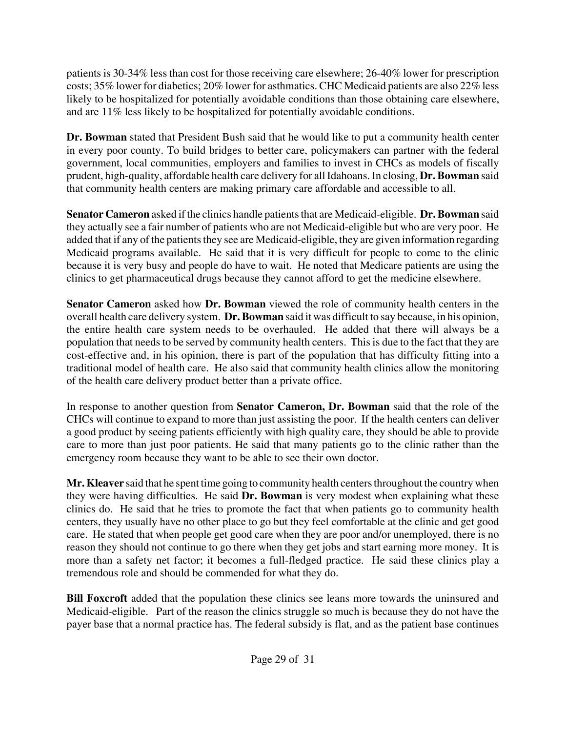patients is 30-34% less than cost for those receiving care elsewhere; 26-40% lower for prescription costs; 35% lower for diabetics; 20% lower for asthmatics. CHC Medicaid patients are also 22% less likely to be hospitalized for potentially avoidable conditions than those obtaining care elsewhere, and are 11% less likely to be hospitalized for potentially avoidable conditions.

**Dr. Bowman** stated that President Bush said that he would like to put a community health center in every poor county. To build bridges to better care, policymakers can partner with the federal government, local communities, employers and families to invest in CHCs as models of fiscally prudent, high-quality, affordable health care delivery for all Idahoans. In closing, **Dr. Bowman** said that community health centers are making primary care affordable and accessible to all.

**Senator Cameron** asked if the clinics handle patients that are Medicaid-eligible. **Dr. Bowman** said they actually see a fair number of patients who are not Medicaid-eligible but who are very poor. He added that if any of the patients they see are Medicaid-eligible, they are given information regarding Medicaid programs available. He said that it is very difficult for people to come to the clinic because it is very busy and people do have to wait. He noted that Medicare patients are using the clinics to get pharmaceutical drugs because they cannot afford to get the medicine elsewhere.

**Senator Cameron** asked how **Dr. Bowman** viewed the role of community health centers in the overall health care delivery system. **Dr. Bowman** said it was difficult to say because, in his opinion, the entire health care system needs to be overhauled. He added that there will always be a population that needs to be served by community health centers. This is due to the fact that they are cost-effective and, in his opinion, there is part of the population that has difficulty fitting into a traditional model of health care. He also said that community health clinics allow the monitoring of the health care delivery product better than a private office.

In response to another question from **Senator Cameron, Dr. Bowman** said that the role of the CHCs will continue to expand to more than just assisting the poor. If the health centers can deliver a good product by seeing patients efficiently with high quality care, they should be able to provide care to more than just poor patients. He said that many patients go to the clinic rather than the emergency room because they want to be able to see their own doctor.

**Mr. Kleaver** said that he spent time going to community health centers throughout the country when they were having difficulties. He said **Dr. Bowman** is very modest when explaining what these clinics do. He said that he tries to promote the fact that when patients go to community health centers, they usually have no other place to go but they feel comfortable at the clinic and get good care. He stated that when people get good care when they are poor and/or unemployed, there is no reason they should not continue to go there when they get jobs and start earning more money. It is more than a safety net factor; it becomes a full-fledged practice. He said these clinics play a tremendous role and should be commended for what they do.

**Bill Foxcroft** added that the population these clinics see leans more towards the uninsured and Medicaid-eligible. Part of the reason the clinics struggle so much is because they do not have the payer base that a normal practice has. The federal subsidy is flat, and as the patient base continues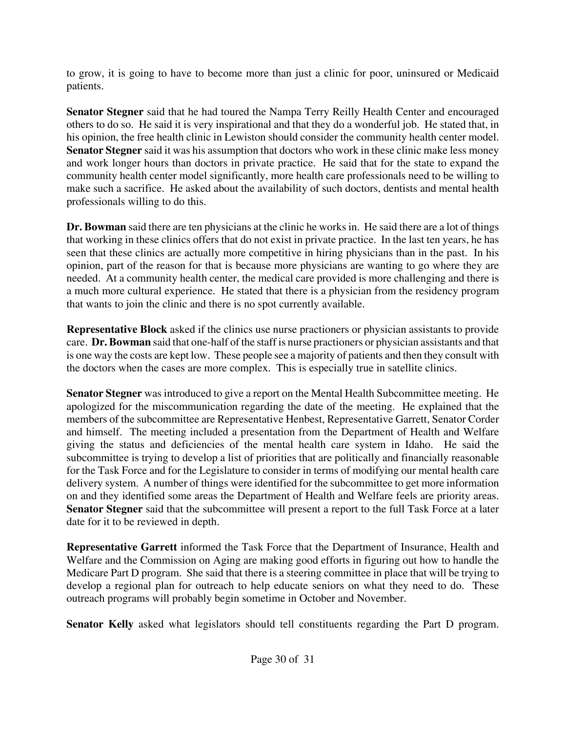to grow, it is going to have to become more than just a clinic for poor, uninsured or Medicaid patients.

**Senator Stegner** said that he had toured the Nampa Terry Reilly Health Center and encouraged others to do so. He said it is very inspirational and that they do a wonderful job. He stated that, in his opinion, the free health clinic in Lewiston should consider the community health center model. **Senator Stegner** said it was his assumption that doctors who work in these clinic make less money and work longer hours than doctors in private practice. He said that for the state to expand the community health center model significantly, more health care professionals need to be willing to make such a sacrifice. He asked about the availability of such doctors, dentists and mental health professionals willing to do this.

**Dr. Bowman** said there are ten physicians at the clinic he works in. He said there are a lot of things that working in these clinics offers that do not exist in private practice. In the last ten years, he has seen that these clinics are actually more competitive in hiring physicians than in the past. In his opinion, part of the reason for that is because more physicians are wanting to go where they are needed. At a community health center, the medical care provided is more challenging and there is a much more cultural experience. He stated that there is a physician from the residency program that wants to join the clinic and there is no spot currently available.

**Representative Block** asked if the clinics use nurse practioners or physician assistants to provide care. **Dr. Bowman** said that one-half of the staff is nurse practioners or physician assistants and that is one way the costs are kept low. These people see a majority of patients and then they consult with the doctors when the cases are more complex. This is especially true in satellite clinics.

**Senator Stegner** was introduced to give a report on the Mental Health Subcommittee meeting. He apologized for the miscommunication regarding the date of the meeting. He explained that the members of the subcommittee are Representative Henbest, Representative Garrett, Senator Corder and himself. The meeting included a presentation from the Department of Health and Welfare giving the status and deficiencies of the mental health care system in Idaho. He said the subcommittee is trying to develop a list of priorities that are politically and financially reasonable for the Task Force and for the Legislature to consider in terms of modifying our mental health care delivery system. A number of things were identified for the subcommittee to get more information on and they identified some areas the Department of Health and Welfare feels are priority areas. **Senator Stegner** said that the subcommittee will present a report to the full Task Force at a later date for it to be reviewed in depth.

**Representative Garrett** informed the Task Force that the Department of Insurance, Health and Welfare and the Commission on Aging are making good efforts in figuring out how to handle the Medicare Part D program. She said that there is a steering committee in place that will be trying to develop a regional plan for outreach to help educate seniors on what they need to do. These outreach programs will probably begin sometime in October and November.

**Senator Kelly** asked what legislators should tell constituents regarding the Part D program.